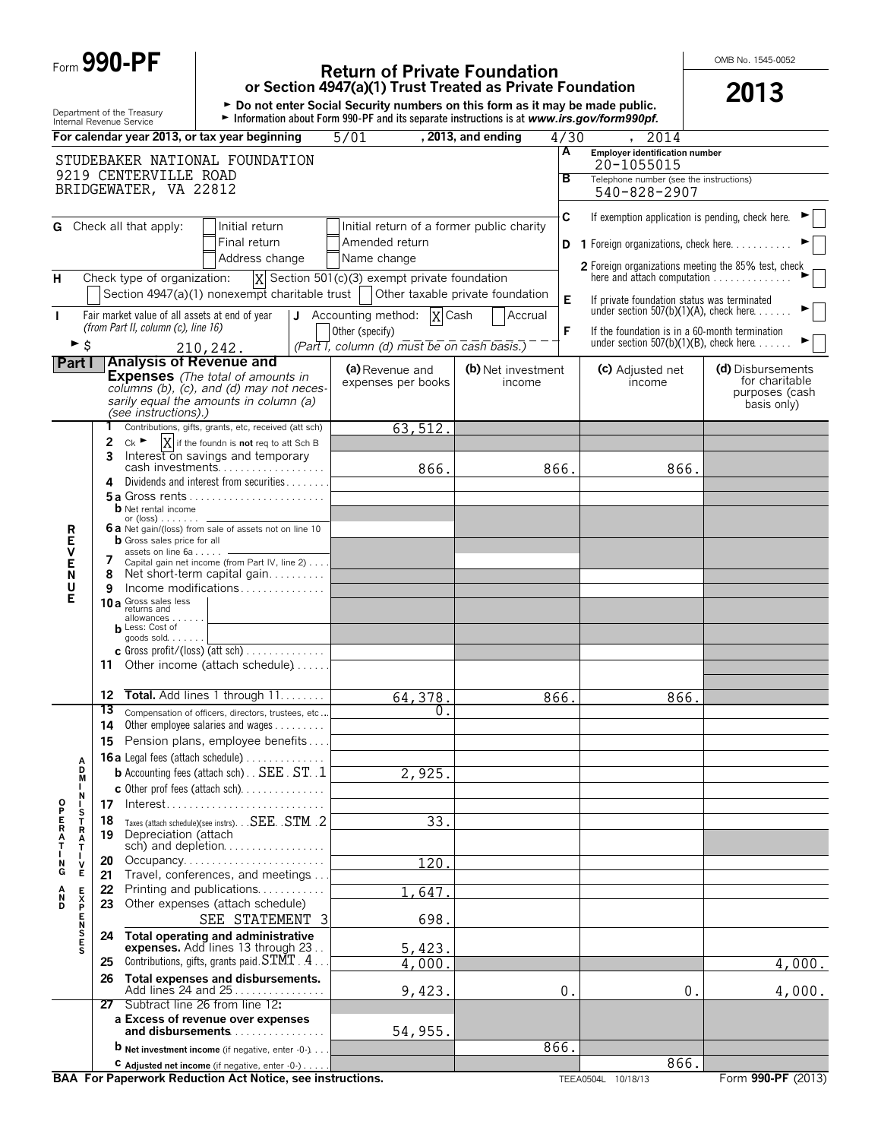| Form 990-PI |  |
|-------------|--|
|-------------|--|

# **Physics** Return of Private Foundation<br>
or Section 4947(a)(1) Trust Treated as Private Foundation<br> **2013**

**or Section 4947(a)(1) Trust Treated as Private Foundation**<br>► Do not enter Social Security numbers on this form as it may be made public.

Department of the Treasury <sup>G</sup>**Information about Form 990-PF and its separate instructions is at** *www.irs.gov/form990pf.* Internal Revenue Service

|                |                          |          |                                                | For calendar year 2013, or tax year beginning                                                                | 5/01                                                        | , 2013, and ending               | 4/30 | 2014                                                                                      |                                  |
|----------------|--------------------------|----------|------------------------------------------------|--------------------------------------------------------------------------------------------------------------|-------------------------------------------------------------|----------------------------------|------|-------------------------------------------------------------------------------------------|----------------------------------|
|                |                          |          |                                                | STUDEBAKER NATIONAL FOUNDATION                                                                               |                                                             |                                  | A    | <b>Employer identification number</b><br>20-1055015                                       |                                  |
|                |                          |          | 9219 CENTERVILLE ROAD                          |                                                                                                              |                                                             |                                  | в    | Telephone number (see the instructions)                                                   |                                  |
|                |                          |          | BRIDGEWATER, VA 22812                          |                                                                                                              |                                                             |                                  |      | 540-828-2907                                                                              |                                  |
|                |                          |          |                                                |                                                                                                              |                                                             |                                  | C    | If exemption application is pending, check here.                                          |                                  |
|                |                          |          | <b>G</b> Check all that apply:                 | Initial return<br>Final return                                                                               | Initial return of a former public charity<br>Amended return |                                  |      |                                                                                           |                                  |
|                |                          |          |                                                | Address change                                                                                               | Name change                                                 |                                  |      | <b>1</b> Foreign organizations, check here                                                |                                  |
| н              |                          |          | Check type of organization:                    |                                                                                                              | $ X $ Section 501(c)(3) exempt private foundation           |                                  |      | <b>2</b> Foreign organizations meeting the 85% test, check<br>here and attach computation |                                  |
|                |                          |          |                                                | Section $4947(a)(1)$ nonexempt charitable trust                                                              |                                                             | Other taxable private foundation | E    | If private foundation status was terminated                                               |                                  |
| J.             |                          |          | Fair market value of all assets at end of year |                                                                                                              | J Accounting method: $ X $ Cash                             | Accrual                          |      | under section $507(b)(1)(A)$ , check here                                                 |                                  |
|                |                          |          | (from Part II, column (c), line 16)            |                                                                                                              | Other (specify)                                             |                                  | F    | If the foundation is in a 60-month termination                                            |                                  |
|                | $\blacktriangleright$ \$ |          |                                                | 210,242.                                                                                                     | (Part I, column (d) must be on cash basis.)                 |                                  |      | under section $507(b)(1)(B)$ , check here                                                 |                                  |
| <b>Part I</b>  |                          |          | <b>Analysis of Revenue and</b>                 | <b>Expenses</b> (The total of amounts in                                                                     | (a) Revenue and                                             | (b) Net investment               |      | (c) Adjusted net                                                                          | (d) Disbursements                |
|                |                          |          |                                                | columns (b), (c), and (d) may not neces-                                                                     | expenses per books                                          | income                           |      | income                                                                                    | for charitable<br>purposes (cash |
|                |                          |          | (see instructions).)                           | sarily equal the amounts in column (a)                                                                       |                                                             |                                  |      |                                                                                           | basis only)                      |
|                |                          |          |                                                | Contributions, gifts, grants, etc, received (att sch)                                                        | 63,512.                                                     |                                  |      |                                                                                           |                                  |
|                |                          | 2        | $c_{k}$                                        | X if the foundn is not req to att Sch B                                                                      |                                                             |                                  |      |                                                                                           |                                  |
|                |                          | 3        |                                                | Interest on savings and temporary                                                                            | 866.                                                        |                                  | 866. | 866.                                                                                      |                                  |
|                |                          | 4        |                                                | Dividends and interest from securities                                                                       |                                                             |                                  |      |                                                                                           |                                  |
|                |                          |          | <b>b</b> Net rental income                     |                                                                                                              |                                                             |                                  |      |                                                                                           |                                  |
|                |                          |          | or $(\text{loss})$                             |                                                                                                              |                                                             |                                  |      |                                                                                           |                                  |
| R<br>E         |                          |          | <b>b</b> Gross sales price for all             | 6 a Net gain/(loss) from sale of assets not on line 10                                                       |                                                             |                                  |      |                                                                                           |                                  |
| ۷              |                          | 7        | assets on line 6a -                            | Capital gain net income (from Part IV, line 2)                                                               |                                                             |                                  |      |                                                                                           |                                  |
| E<br>N         |                          | 8        |                                                | Net short-term capital gain                                                                                  |                                                             |                                  |      |                                                                                           |                                  |
| U<br>Е         |                          | 9        | 10 a Gross sales less                          | Income modifications                                                                                         |                                                             |                                  |      |                                                                                           |                                  |
|                |                          |          | allowances                                     |                                                                                                              |                                                             |                                  |      |                                                                                           |                                  |
|                |                          |          | <b>h</b> Less: Cost of<br>goods sold           |                                                                                                              |                                                             |                                  |      |                                                                                           |                                  |
|                |                          |          |                                                | $\mathbf c$ Gross profit/(loss) (att sch)                                                                    |                                                             |                                  |      |                                                                                           |                                  |
|                |                          | 11       |                                                | Other income (attach schedule)                                                                               |                                                             |                                  |      |                                                                                           |                                  |
|                |                          | 12       |                                                | Total. Add lines 1 through 11.                                                                               | 64,378.                                                     |                                  | 866. | 866.                                                                                      |                                  |
|                |                          | 13       |                                                | Compensation of officers, directors, trustees, etc                                                           | 0.                                                          |                                  |      |                                                                                           |                                  |
|                |                          | 14       |                                                | Other employee salaries and wages                                                                            |                                                             |                                  |      |                                                                                           |                                  |
|                |                          | 15       |                                                | Pension plans, employee benefits<br>16a Legal fees (attach schedule)                                         |                                                             |                                  |      |                                                                                           |                                  |
|                | А<br>D                   |          |                                                | <b>b</b> Accounting fees (attach sch). SEE. ST. 1                                                            | 2,925                                                       |                                  |      |                                                                                           |                                  |
|                | M<br>Ν                   |          |                                                | c Other prof fees (attach sch)                                                                               |                                                             |                                  |      |                                                                                           |                                  |
|                |                          | 17       |                                                | $Interest. \ldots \ldots \ldots \ldots \ldots \ldots \ldots$                                                 |                                                             |                                  |      |                                                                                           |                                  |
| <b>OPERAT</b>  | S<br>T<br>R<br>A<br>T    | 18<br>19 | Depreciation (attach                           | Taxes (attach schedule)(see instrs). SEE. . STM . 2                                                          | $\overline{33}$ .                                           |                                  |      |                                                                                           |                                  |
|                |                          |          |                                                | sch) and depletion                                                                                           |                                                             |                                  |      |                                                                                           |                                  |
| N<br>G         | ۷<br>Е                   | 20       |                                                | Occupancy                                                                                                    | 120.                                                        |                                  |      |                                                                                           |                                  |
|                |                          | 21<br>22 |                                                | Travel, conferences, and meetings<br>Printing and publications                                               | 647                                                         |                                  |      |                                                                                           |                                  |
| $\overline{D}$ | E<br>X<br>P              | 23       |                                                | Other expenses (attach schedule)                                                                             |                                                             |                                  |      |                                                                                           |                                  |
|                | e<br>N                   |          |                                                | SEE STATEMENT 3                                                                                              | 698.                                                        |                                  |      |                                                                                           |                                  |
|                | S<br>E<br>S              | 24       |                                                | Total operating and administrative<br>expenses. Add lines 13 through 23.                                     | 5,423.                                                      |                                  |      |                                                                                           |                                  |
|                |                          | 25       |                                                | Contributions, gifts, grants paid. STMT . 4.                                                                 | 4,000                                                       |                                  |      |                                                                                           | 4,000.                           |
|                |                          | 26       |                                                | Total expenses and disbursements.<br>Add lines 24 and 25                                                     |                                                             |                                  |      |                                                                                           |                                  |
|                |                          | 27       |                                                | Subtract line 26 from line 12:                                                                               | 9,423.                                                      |                                  | 0.   | 0.                                                                                        | 4,000.                           |
|                |                          |          |                                                | a Excess of revenue over expenses                                                                            |                                                             |                                  |      |                                                                                           |                                  |
|                |                          |          |                                                | and disbursements                                                                                            | 54,955.                                                     |                                  |      |                                                                                           |                                  |
|                |                          |          |                                                | <b>D</b> Net investment income (if negative, enter $-0$ -)<br>C Adjusted net income (if negative, enter -0-) |                                                             |                                  | 866. | 866.                                                                                      |                                  |
|                |                          |          |                                                | <b>BAA For Paperwork Reduction Act Notice, see instructions.</b>                                             |                                                             |                                  |      | TEEA0504L 10/18/13                                                                        | Form 990-PF (2013)               |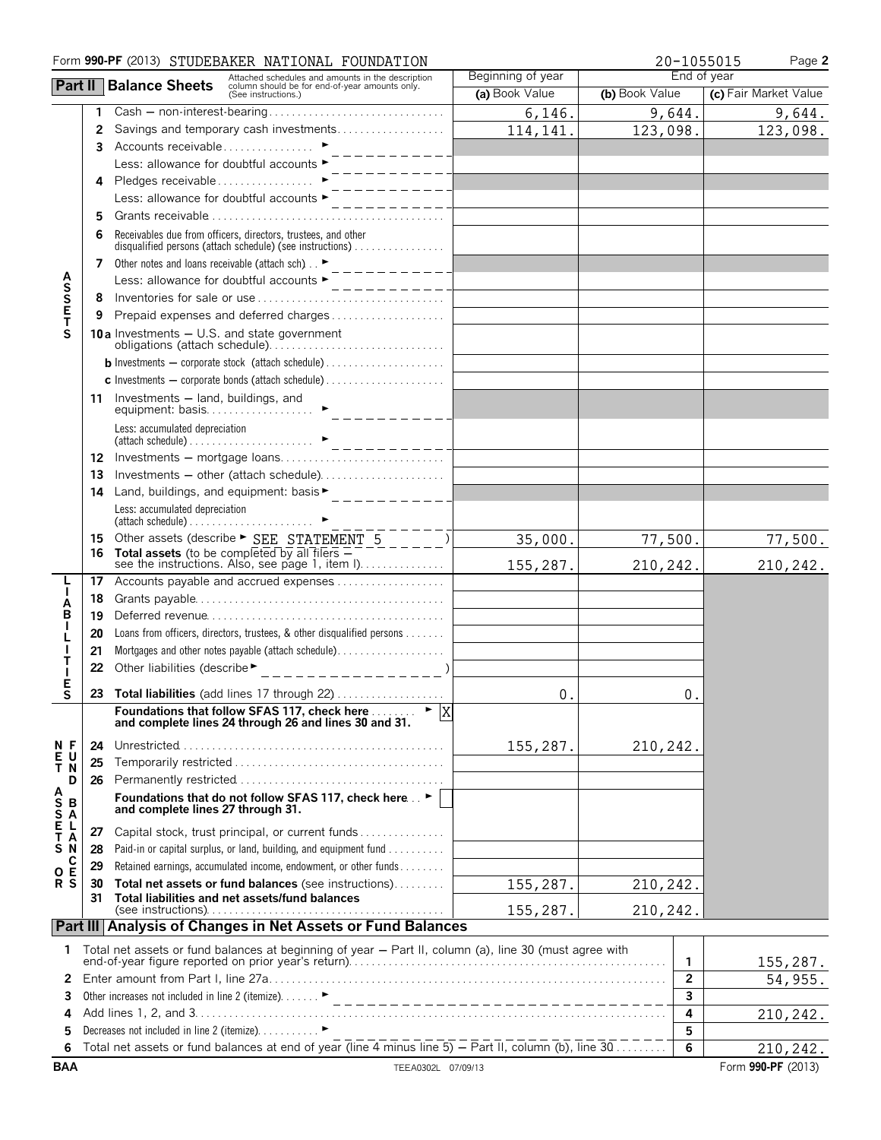|                  |          | Form 990-PF (2013) STUDEBAKER NATIONAL FOUNDATION                                                                                                           |                   | 20-1055015     | Page 2                |  |
|------------------|----------|-------------------------------------------------------------------------------------------------------------------------------------------------------------|-------------------|----------------|-----------------------|--|
|                  |          | Attached schedules and amounts in the description<br>column should be for end-of-year amounts only.<br>(See instructions.)<br><b>Part II</b> Balance Sheets | Beginning of year | End of year    |                       |  |
|                  |          |                                                                                                                                                             | (a) Book Value    | (b) Book Value | (c) Fair Market Value |  |
|                  | 1        | $Cash - non-interest-bearing \ldots \ldots \ldots \ldots \ldots \ldots \ldots$                                                                              | 6,146.            | 9,644.         | 9,644.                |  |
|                  | 2        | Savings and temporary cash investments                                                                                                                      | 114, 141.         | 123,098.       | 123,098.              |  |
|                  | 3        | Accounts receivable ▶<br>$- - - - - - -$                                                                                                                    |                   |                |                       |  |
|                  |          | Less: allowance for doubtful accounts ▶                                                                                                                     |                   |                |                       |  |
|                  | 4        | Pledges receivable<br>--------                                                                                                                              |                   |                |                       |  |
|                  |          | Less: allowance for doubtful accounts ►                                                                                                                     |                   |                |                       |  |
|                  | 5        |                                                                                                                                                             |                   |                |                       |  |
|                  | 6        | Receivables due from officers, directors, trustees, and other<br>disqualified persons (attach schedule) (see instructions)                                  |                   |                |                       |  |
|                  | 7        | Other notes and loans receivable (attach sch). $\blacktriangleright$<br>. _ _ _ _ _ _ _ _ .                                                                 |                   |                |                       |  |
|                  |          | Less: allowance for doubtful accounts ►<br>$- - - - - - - - -$                                                                                              |                   |                |                       |  |
|                  | 8        |                                                                                                                                                             |                   |                |                       |  |
| <b>ASSET</b>     | 9        |                                                                                                                                                             |                   |                |                       |  |
| S                |          | <b>10a</b> Investments $-$ U.S. and state government                                                                                                        |                   |                |                       |  |
|                  |          |                                                                                                                                                             |                   |                |                       |  |
|                  |          |                                                                                                                                                             |                   |                |                       |  |
|                  |          | 11 Investments - land, buildings, and<br>equipment: basis.                                                                                                  |                   |                |                       |  |
|                  |          | Less: accumulated depreciation                                                                                                                              |                   |                |                       |  |
|                  | 12       |                                                                                                                                                             |                   |                |                       |  |
|                  | 13       |                                                                                                                                                             |                   |                |                       |  |
|                  | 14       | Land, buildings, and equipment: basis $\bullet$ ____________                                                                                                |                   |                |                       |  |
|                  |          | Less: accumulated depreciation                                                                                                                              |                   |                |                       |  |
|                  |          |                                                                                                                                                             |                   |                |                       |  |
|                  | 15<br>16 | Other assets (describe > SEE STATEMENT 5<br>Total assets (to be completed by all filers $=$                                                                 | 35,000.           | 77,500.        | 77,500.               |  |
|                  |          | see the instructions. Also, see page 1, item I)                                                                                                             | 155,287.          | 210,242.       | 210,242.              |  |
|                  | 17       | Accounts payable and accrued expenses                                                                                                                       |                   |                |                       |  |
| А                | 18       |                                                                                                                                                             |                   |                |                       |  |
| в                | 19       |                                                                                                                                                             |                   |                |                       |  |
|                  | 20       | Loans from officers, directors, trustees, & other disqualified persons                                                                                      |                   |                |                       |  |
|                  | 21       | Mortgages and other notes payable (attach schedule).                                                                                                        |                   |                |                       |  |
|                  | 22       | Other liabilities (describe $\rightarrow$ _________________)                                                                                                |                   |                |                       |  |
| Е<br>$\mathbf S$ |          |                                                                                                                                                             |                   |                |                       |  |
|                  |          | <b>23 Total liabilities</b> (add lines 17 through 22)<br>Foundations that follow SFAS 117, check here $\ldots$ $\blacktriangleright$ $\boxed{X}$            | 0.                | 0              |                       |  |
|                  |          | and complete lines 24 through 26 and lines 30 and 31.                                                                                                       |                   |                |                       |  |
| N F<br>U         | 24       |                                                                                                                                                             | 155,287.          | 210,242.       |                       |  |
| $rac{E}{T}$<br>Ñ | 25       |                                                                                                                                                             |                   |                |                       |  |
| D                | 26       |                                                                                                                                                             |                   |                |                       |  |
| ASSALAN          |          | Foundations that do not follow SFAS 117, check here  ▶  <br>and complete lines 27 through 31.                                                               |                   |                |                       |  |
|                  | 27       | Capital stock, trust principal, or current funds                                                                                                            |                   |                |                       |  |
| S<br>N           | 28       | Paid-in or capital surplus, or land, building, and equipment fund                                                                                           |                   |                |                       |  |
| С<br>O E         | 29       | Retained earnings, accumulated income, endowment, or other funds                                                                                            |                   |                |                       |  |
| R S              | 30       | Total net assets or fund balances (see instructions)                                                                                                        | 155,287.          | 210,242.       |                       |  |
|                  | 31       | Total liabilities and net assets/fund balances                                                                                                              | 155,287.          | 210,242        |                       |  |
|                  |          | Part III Analysis of Changes in Net Assets or Fund Balances                                                                                                 |                   |                |                       |  |
|                  |          |                                                                                                                                                             |                   |                |                       |  |
| 1                |          | Total net assets or fund balances at beginning of year - Part II, column (a), line 30 (must agree with                                                      |                   | 1              | 155,287.              |  |
| 2                |          |                                                                                                                                                             |                   | $\mathbf{2}$   | 54,955.               |  |
| 3                |          |                                                                                                                                                             |                   | 3              |                       |  |
| 4                |          |                                                                                                                                                             |                   | 4              | 210,242.              |  |
| 5                |          | Decreases not included in line 2 (itemize). ▶                                                                                                               |                   | 5              |                       |  |
| 6                |          |                                                                                                                                                             |                   | 6              | 210,242.              |  |
| <b>BAA</b>       |          | TEEA0302L 07/09/13                                                                                                                                          |                   |                | Form 990-PF (2013)    |  |
|                  |          |                                                                                                                                                             |                   |                |                       |  |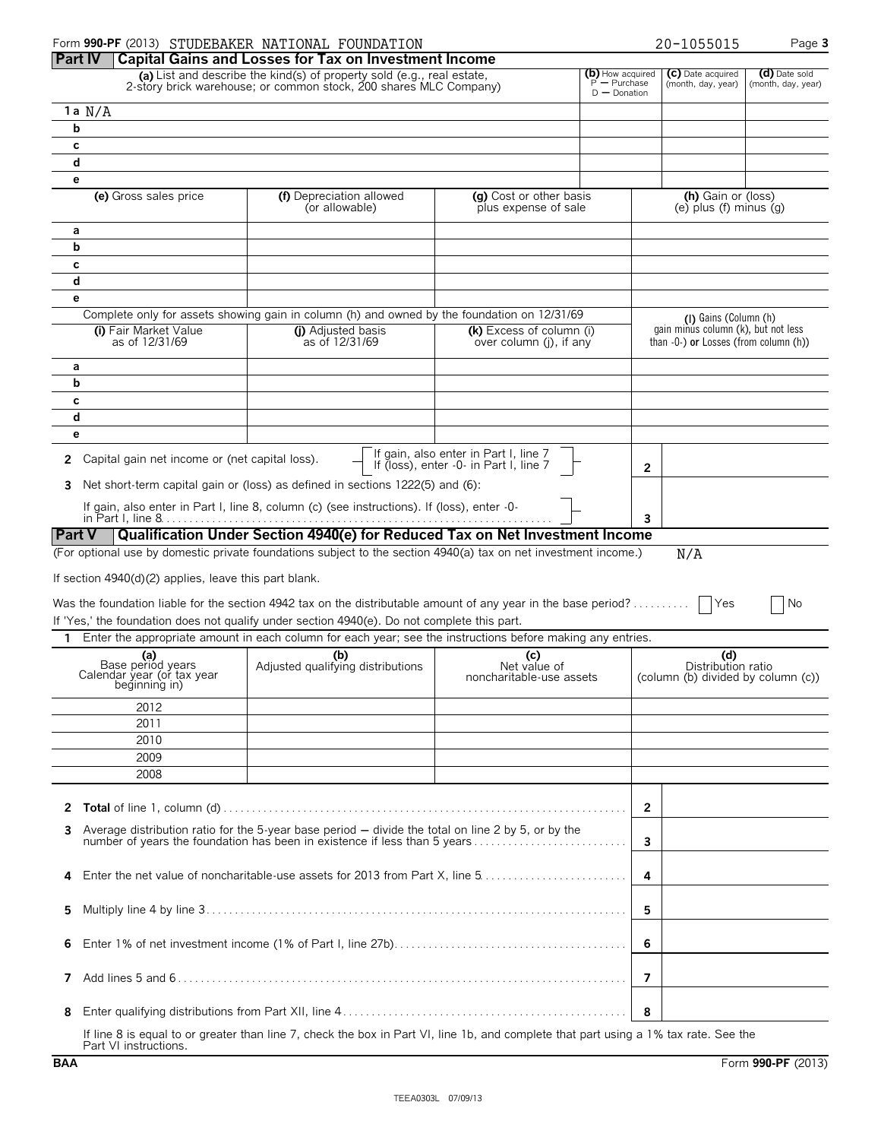|                                                                         | Form 990-PF (2013) STUDEBAKER NATIONAL FOUNDATION                                                                                                                                 |                                                                                 |                                  |   | 20-1055015                                                                      | Page 3                              |
|-------------------------------------------------------------------------|-----------------------------------------------------------------------------------------------------------------------------------------------------------------------------------|---------------------------------------------------------------------------------|----------------------------------|---|---------------------------------------------------------------------------------|-------------------------------------|
| <b>Part IV</b>                                                          | <b>Capital Gains and Losses for Tax on Investment Income</b>                                                                                                                      |                                                                                 |                                  |   |                                                                                 |                                     |
|                                                                         | (a) List and describe the kind(s) of property sold (e.g., real estate,<br>2-story brick warehouse; or common stock, 200 shares MLC Company)                                       |                                                                                 | (b) How acquired<br>P — Purchase |   | (C) Date acquired<br>(month, day, year)                                         | (d) Date sold<br>(month, day, year) |
|                                                                         |                                                                                                                                                                                   |                                                                                 | $D -$ Donation                   |   |                                                                                 |                                     |
| 1 a $N/A$                                                               |                                                                                                                                                                                   |                                                                                 |                                  |   |                                                                                 |                                     |
| b                                                                       |                                                                                                                                                                                   |                                                                                 |                                  |   |                                                                                 |                                     |
| C                                                                       |                                                                                                                                                                                   |                                                                                 |                                  |   |                                                                                 |                                     |
| d                                                                       |                                                                                                                                                                                   |                                                                                 |                                  |   |                                                                                 |                                     |
| е                                                                       |                                                                                                                                                                                   |                                                                                 |                                  |   |                                                                                 |                                     |
| (e) Gross sales price                                                   | (f) Depreciation allowed<br>(or allowable)                                                                                                                                        | (g) Cost or other basis<br>plus expense of sale                                 |                                  |   | (h) Gain or (loss)<br>$(e)$ plus $(f)$ minus $(g)$                              |                                     |
| а                                                                       |                                                                                                                                                                                   |                                                                                 |                                  |   |                                                                                 |                                     |
| b                                                                       |                                                                                                                                                                                   |                                                                                 |                                  |   |                                                                                 |                                     |
| c                                                                       |                                                                                                                                                                                   |                                                                                 |                                  |   |                                                                                 |                                     |
| d                                                                       |                                                                                                                                                                                   |                                                                                 |                                  |   |                                                                                 |                                     |
| e                                                                       |                                                                                                                                                                                   |                                                                                 |                                  |   |                                                                                 |                                     |
|                                                                         | Complete only for assets showing gain in column (h) and owned by the foundation on 12/31/69                                                                                       |                                                                                 |                                  |   | (I) Gains (Column (h)                                                           |                                     |
| (i) Fair Market Value<br>as of 12/31/69                                 | (i) Adjusted basis<br>as of 12/31/69                                                                                                                                              | (k) Excess of column (i)<br>over column (j), if any                             |                                  |   | gain minus column (k), but not less<br>than $-0$ -) or Losses (from column (h)) |                                     |
| а                                                                       |                                                                                                                                                                                   |                                                                                 |                                  |   |                                                                                 |                                     |
| b                                                                       |                                                                                                                                                                                   |                                                                                 |                                  |   |                                                                                 |                                     |
| c                                                                       |                                                                                                                                                                                   |                                                                                 |                                  |   |                                                                                 |                                     |
| d                                                                       |                                                                                                                                                                                   |                                                                                 |                                  |   |                                                                                 |                                     |
| е                                                                       |                                                                                                                                                                                   |                                                                                 |                                  |   |                                                                                 |                                     |
| Capital gain net income or (net capital loss).<br>2                     |                                                                                                                                                                                   | If gain, also enter in Part I, line 7<br>If (loss), enter -0- in Part I, line 7 |                                  |   |                                                                                 |                                     |
|                                                                         |                                                                                                                                                                                   |                                                                                 |                                  | 2 |                                                                                 |                                     |
| 3                                                                       | Net short-term capital gain or (loss) as defined in sections 1222(5) and (6):                                                                                                     |                                                                                 |                                  |   |                                                                                 |                                     |
|                                                                         | If gain, also enter in Part I, line 8, column (c) (see instructions). If (loss), enter -0-                                                                                        |                                                                                 |                                  |   |                                                                                 |                                     |
|                                                                         | Qualification Under Section 4940(e) for Reduced Tax on Net Investment Income                                                                                                      |                                                                                 |                                  | 3 |                                                                                 |                                     |
| <b>Part V</b>                                                           | (For optional use by domestic private foundations subject to the section 4940(a) tax on net investment income.)                                                                   |                                                                                 |                                  |   |                                                                                 |                                     |
|                                                                         |                                                                                                                                                                                   |                                                                                 |                                  |   | N/A                                                                             |                                     |
| If section 4940(d)(2) applies, leave this part blank.                   |                                                                                                                                                                                   |                                                                                 |                                  |   |                                                                                 |                                     |
|                                                                         | Was the foundation liable for the section 4942 tax on the distributable amount of any year in the base period?                                                                    |                                                                                 |                                  |   | Yes                                                                             | No                                  |
|                                                                         | If 'Yes,' the foundation does not qualify under section 4940(e). Do not complete this part.                                                                                       |                                                                                 |                                  |   |                                                                                 |                                     |
| $\mathbf{1}$                                                            | Enter the appropriate amount in each column for each year; see the instructions before making any entries.                                                                        |                                                                                 |                                  |   |                                                                                 |                                     |
|                                                                         |                                                                                                                                                                                   |                                                                                 |                                  |   |                                                                                 |                                     |
| (a)<br>Base periód years<br>Calendar year (or tax year<br>beğinning in) | Adjusted qualifying distributions                                                                                                                                                 | (c)<br>Net value of<br>noncharitable-use assets                                 |                                  |   | (d)<br>Distribution ratio<br>(column (b) divided by column (c))                 |                                     |
| 2012                                                                    |                                                                                                                                                                                   |                                                                                 |                                  |   |                                                                                 |                                     |
| 2011                                                                    |                                                                                                                                                                                   |                                                                                 |                                  |   |                                                                                 |                                     |
| 2010                                                                    |                                                                                                                                                                                   |                                                                                 |                                  |   |                                                                                 |                                     |
| 2009                                                                    |                                                                                                                                                                                   |                                                                                 |                                  |   |                                                                                 |                                     |
| 2008                                                                    |                                                                                                                                                                                   |                                                                                 |                                  |   |                                                                                 |                                     |
|                                                                         |                                                                                                                                                                                   |                                                                                 |                                  |   |                                                                                 |                                     |
| 2                                                                       |                                                                                                                                                                                   |                                                                                 |                                  | 2 |                                                                                 |                                     |
| 3                                                                       | Average distribution ratio for the 5-year base period $-$ divide the total on line 2 by 5, or by the<br>number of years the foundation has been in existence if less than 5 years |                                                                                 |                                  | 3 |                                                                                 |                                     |
|                                                                         |                                                                                                                                                                                   |                                                                                 |                                  |   |                                                                                 |                                     |
| 4                                                                       |                                                                                                                                                                                   |                                                                                 |                                  | 4 |                                                                                 |                                     |
| 5                                                                       |                                                                                                                                                                                   |                                                                                 |                                  | 5 |                                                                                 |                                     |
| 6                                                                       |                                                                                                                                                                                   |                                                                                 |                                  | 6 |                                                                                 |                                     |
| 7                                                                       |                                                                                                                                                                                   |                                                                                 |                                  | 7 |                                                                                 |                                     |
| 8                                                                       |                                                                                                                                                                                   |                                                                                 |                                  | 8 |                                                                                 |                                     |
|                                                                         | If $\lim_{x \to 0} 0$ is equal to an greater than $\lim_{x \to 0} 7$ ahook the how in Dart VII, $\lim_{x \to 0} 1$ by and complete that next using a 10/ toy rate. See the        |                                                                                 |                                  |   |                                                                                 |                                     |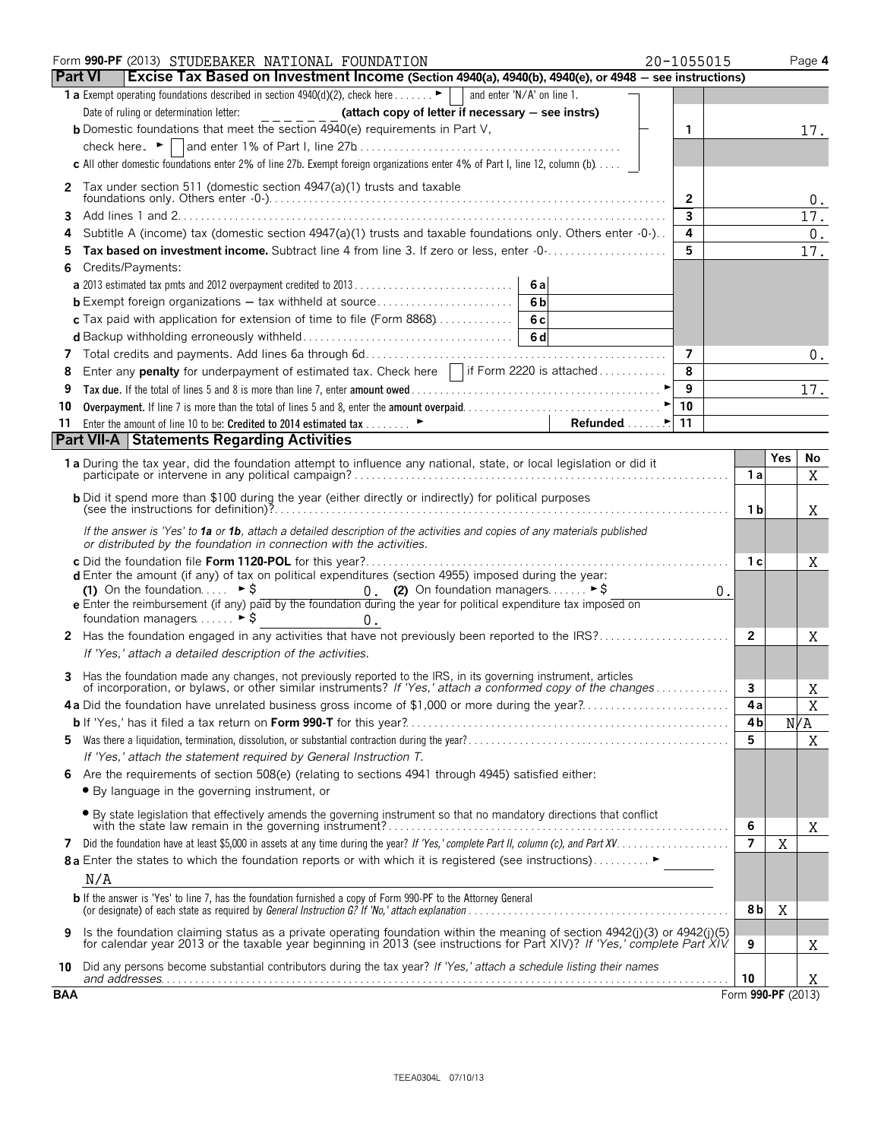| <b>Part VI</b><br>Excise Tax Based on Investment Income (Section 4940(a), 4940(b), 4940(e), or 4948 - see instructions)<br>1 a Exempt operating foundations described in section 4940(d)(2), check here $\blacktriangleright$<br>and enter 'N/A' on line 1.<br>(attach copy of letter if necessary - see instrs)<br><b>b</b> Domestic foundations that meet the section 4940(e) requirements in Part V,<br>1<br>17.<br>c All other domestic foundations enter 2% of line 27b. Exempt foreign organizations enter 4% of Part I, line 12, column (b)<br>Tax under section 511 (domestic section 4947(a)(1) trusts and taxable<br>2<br>$\overline{2}$<br>0.<br>$\overline{3}$<br>17.<br>3<br>$\overline{\mathbf{4}}$<br>Subtitle A (income) tax (domestic section $4947(a)(1)$ trusts and taxable foundations only. Others enter $-0$ -).<br>$0$ .<br>4<br>5<br>Tax based on investment income. Subtract line 4 from line 3. If zero or less, enter -0-<br>17.<br>5<br>Credits/Payments:<br>6<br>6a<br>6 <sub>b</sub><br>6c<br>c Tax paid with application for extension of time to file (Form 8868)<br>6d<br>7<br>7<br>0.<br>8<br>Enter any <b>penalty</b> for underpayment of estimated tax. Check here $\ \cdot\ $ if Form 2220 is attached<br>9<br>9<br>17.<br>10<br>10<br>Refunded $\ldots$<br>11<br>11<br><b>Part VII-A Statements Regarding Activities</b><br><b>Yes</b><br>No<br>1 a During the tax year, did the foundation attempt to influence any national, state, or local legislation or did it<br>1 a<br>X<br><b>b</b> Did it spend more than \$100 during the year (either directly or indirectly) for political purposes<br>1 b<br>Χ<br>If the answer is 'Yes' to 1a or 1b, attach a detailed description of the activities and copies of any materials published<br>or distributed by the foundation in connection with the activities.<br>1 с<br>Χ<br><b>d</b> Enter the amount (if any) of tax on political expenditures (section 4955) imposed during the year:<br>0. (2) On foundation managers $\triangleright$ \$<br>$(1)$ On the foundation<br>$\triangleright$ \$<br>0.<br>e Enter the reimbursement (if any) paid by the foundation during the year for political expenditure tax imposed on<br>foundation managers  ► \$<br>0.<br>$\overline{2}$<br>Χ<br>If 'Yes,' attach a detailed description of the activities.<br>Has the foundation made any changes, not previously reported to the IRS, in its governing instrument, articles<br>of incorporation, or bylaws, or other similar instruments? If 'Yes,' attach a conformed copy of the changes<br>3<br>Χ<br>4a Did the foundation have unrelated business gross income of \$1,000 or more during the year?<br>Χ<br>4 a<br>N/A<br>4 b<br>$\mathbf X$<br>5<br>5.<br>If 'Yes,' attach the statement required by General Instruction T.<br>Are the requirements of section 508(e) (relating to sections 4941 through 4945) satisfied either:<br>• By language in the governing instrument, or<br>• By state legislation that effectively amends the governing instrument so that no mandatory directions that conflict<br>6<br>X<br>X<br>$\overline{7}$<br>7<br>8 a Enter the states to which the foundation reports or with which it is registered (see instructions)<br>N/A<br><b>b</b> If the answer is 'Yes' to line 7, has the foundation furnished a copy of Form 990-PF to the Attorney General<br>X<br>8 b<br>Is the foundation claiming status as a private operating foundation within the meaning of section 4942(j)(3) or 4942(j)(5)<br>9<br>for calendar year 2013 or the taxable year beginning in 2013 (see instructions for Part XIV)? If 'Yes,' complete Part XIV.<br>9<br>Χ<br>10 Did any persons become substantial contributors during the tax year? If 'Yes,' attach a schedule listing their names<br>10<br>X.<br>Form 990-PF (2013) |            | Form 990-PF (2013) STUDEBAKER NATIONAL FOUNDATION | 20-1055015 |  | Page 4 |
|---------------------------------------------------------------------------------------------------------------------------------------------------------------------------------------------------------------------------------------------------------------------------------------------------------------------------------------------------------------------------------------------------------------------------------------------------------------------------------------------------------------------------------------------------------------------------------------------------------------------------------------------------------------------------------------------------------------------------------------------------------------------------------------------------------------------------------------------------------------------------------------------------------------------------------------------------------------------------------------------------------------------------------------------------------------------------------------------------------------------------------------------------------------------------------------------------------------------------------------------------------------------------------------------------------------------------------------------------------------------------------------------------------------------------------------------------------------------------------------------------------------------------------------------------------------------------------------------------------------------------------------------------------------------------------------------------------------------------------------------------------------------------------------------------------------------------------------------------------------------------------------------------------------------------------------------------------------------------------------------------------------------------------------------------------------------------------------------------------------------------------------------------------------------------------------------------------------------------------------------------------------------------------------------------------------------------------------------------------------------------------------------------------------------------------------------------------------------------------------------------------------------------------------------------------------------------------------------------------------------------------------------------------------------------------------------------------------------------------------------------------------------------------------------------------------------------------------------------------------------------------------------------------------------------------------------------------------------------------------------------------------------------------------------------------------------------------------------------------------------------------------------------------------------------------------------------------------------------------------------------------------------------------------------------------------------------------------------------------------------------------------------------------------------------------------------------------------------------------------------------------------------------------------------------------------------------------------------------------------------------------------------------------------------------------------------------------------------------------------------------------------------------------------------------------------------------------------|------------|---------------------------------------------------|------------|--|--------|
|                                                                                                                                                                                                                                                                                                                                                                                                                                                                                                                                                                                                                                                                                                                                                                                                                                                                                                                                                                                                                                                                                                                                                                                                                                                                                                                                                                                                                                                                                                                                                                                                                                                                                                                                                                                                                                                                                                                                                                                                                                                                                                                                                                                                                                                                                                                                                                                                                                                                                                                                                                                                                                                                                                                                                                                                                                                                                                                                                                                                                                                                                                                                                                                                                                                                                                                                                                                                                                                                                                                                                                                                                                                                                                                                                                                                                                       |            |                                                   |            |  |        |
|                                                                                                                                                                                                                                                                                                                                                                                                                                                                                                                                                                                                                                                                                                                                                                                                                                                                                                                                                                                                                                                                                                                                                                                                                                                                                                                                                                                                                                                                                                                                                                                                                                                                                                                                                                                                                                                                                                                                                                                                                                                                                                                                                                                                                                                                                                                                                                                                                                                                                                                                                                                                                                                                                                                                                                                                                                                                                                                                                                                                                                                                                                                                                                                                                                                                                                                                                                                                                                                                                                                                                                                                                                                                                                                                                                                                                                       |            |                                                   |            |  |        |
|                                                                                                                                                                                                                                                                                                                                                                                                                                                                                                                                                                                                                                                                                                                                                                                                                                                                                                                                                                                                                                                                                                                                                                                                                                                                                                                                                                                                                                                                                                                                                                                                                                                                                                                                                                                                                                                                                                                                                                                                                                                                                                                                                                                                                                                                                                                                                                                                                                                                                                                                                                                                                                                                                                                                                                                                                                                                                                                                                                                                                                                                                                                                                                                                                                                                                                                                                                                                                                                                                                                                                                                                                                                                                                                                                                                                                                       |            |                                                   |            |  |        |
|                                                                                                                                                                                                                                                                                                                                                                                                                                                                                                                                                                                                                                                                                                                                                                                                                                                                                                                                                                                                                                                                                                                                                                                                                                                                                                                                                                                                                                                                                                                                                                                                                                                                                                                                                                                                                                                                                                                                                                                                                                                                                                                                                                                                                                                                                                                                                                                                                                                                                                                                                                                                                                                                                                                                                                                                                                                                                                                                                                                                                                                                                                                                                                                                                                                                                                                                                                                                                                                                                                                                                                                                                                                                                                                                                                                                                                       |            |                                                   |            |  |        |
|                                                                                                                                                                                                                                                                                                                                                                                                                                                                                                                                                                                                                                                                                                                                                                                                                                                                                                                                                                                                                                                                                                                                                                                                                                                                                                                                                                                                                                                                                                                                                                                                                                                                                                                                                                                                                                                                                                                                                                                                                                                                                                                                                                                                                                                                                                                                                                                                                                                                                                                                                                                                                                                                                                                                                                                                                                                                                                                                                                                                                                                                                                                                                                                                                                                                                                                                                                                                                                                                                                                                                                                                                                                                                                                                                                                                                                       |            |                                                   |            |  |        |
|                                                                                                                                                                                                                                                                                                                                                                                                                                                                                                                                                                                                                                                                                                                                                                                                                                                                                                                                                                                                                                                                                                                                                                                                                                                                                                                                                                                                                                                                                                                                                                                                                                                                                                                                                                                                                                                                                                                                                                                                                                                                                                                                                                                                                                                                                                                                                                                                                                                                                                                                                                                                                                                                                                                                                                                                                                                                                                                                                                                                                                                                                                                                                                                                                                                                                                                                                                                                                                                                                                                                                                                                                                                                                                                                                                                                                                       |            |                                                   |            |  |        |
|                                                                                                                                                                                                                                                                                                                                                                                                                                                                                                                                                                                                                                                                                                                                                                                                                                                                                                                                                                                                                                                                                                                                                                                                                                                                                                                                                                                                                                                                                                                                                                                                                                                                                                                                                                                                                                                                                                                                                                                                                                                                                                                                                                                                                                                                                                                                                                                                                                                                                                                                                                                                                                                                                                                                                                                                                                                                                                                                                                                                                                                                                                                                                                                                                                                                                                                                                                                                                                                                                                                                                                                                                                                                                                                                                                                                                                       |            |                                                   |            |  |        |
|                                                                                                                                                                                                                                                                                                                                                                                                                                                                                                                                                                                                                                                                                                                                                                                                                                                                                                                                                                                                                                                                                                                                                                                                                                                                                                                                                                                                                                                                                                                                                                                                                                                                                                                                                                                                                                                                                                                                                                                                                                                                                                                                                                                                                                                                                                                                                                                                                                                                                                                                                                                                                                                                                                                                                                                                                                                                                                                                                                                                                                                                                                                                                                                                                                                                                                                                                                                                                                                                                                                                                                                                                                                                                                                                                                                                                                       |            |                                                   |            |  |        |
|                                                                                                                                                                                                                                                                                                                                                                                                                                                                                                                                                                                                                                                                                                                                                                                                                                                                                                                                                                                                                                                                                                                                                                                                                                                                                                                                                                                                                                                                                                                                                                                                                                                                                                                                                                                                                                                                                                                                                                                                                                                                                                                                                                                                                                                                                                                                                                                                                                                                                                                                                                                                                                                                                                                                                                                                                                                                                                                                                                                                                                                                                                                                                                                                                                                                                                                                                                                                                                                                                                                                                                                                                                                                                                                                                                                                                                       |            |                                                   |            |  |        |
|                                                                                                                                                                                                                                                                                                                                                                                                                                                                                                                                                                                                                                                                                                                                                                                                                                                                                                                                                                                                                                                                                                                                                                                                                                                                                                                                                                                                                                                                                                                                                                                                                                                                                                                                                                                                                                                                                                                                                                                                                                                                                                                                                                                                                                                                                                                                                                                                                                                                                                                                                                                                                                                                                                                                                                                                                                                                                                                                                                                                                                                                                                                                                                                                                                                                                                                                                                                                                                                                                                                                                                                                                                                                                                                                                                                                                                       |            |                                                   |            |  |        |
|                                                                                                                                                                                                                                                                                                                                                                                                                                                                                                                                                                                                                                                                                                                                                                                                                                                                                                                                                                                                                                                                                                                                                                                                                                                                                                                                                                                                                                                                                                                                                                                                                                                                                                                                                                                                                                                                                                                                                                                                                                                                                                                                                                                                                                                                                                                                                                                                                                                                                                                                                                                                                                                                                                                                                                                                                                                                                                                                                                                                                                                                                                                                                                                                                                                                                                                                                                                                                                                                                                                                                                                                                                                                                                                                                                                                                                       |            |                                                   |            |  |        |
|                                                                                                                                                                                                                                                                                                                                                                                                                                                                                                                                                                                                                                                                                                                                                                                                                                                                                                                                                                                                                                                                                                                                                                                                                                                                                                                                                                                                                                                                                                                                                                                                                                                                                                                                                                                                                                                                                                                                                                                                                                                                                                                                                                                                                                                                                                                                                                                                                                                                                                                                                                                                                                                                                                                                                                                                                                                                                                                                                                                                                                                                                                                                                                                                                                                                                                                                                                                                                                                                                                                                                                                                                                                                                                                                                                                                                                       |            |                                                   |            |  |        |
|                                                                                                                                                                                                                                                                                                                                                                                                                                                                                                                                                                                                                                                                                                                                                                                                                                                                                                                                                                                                                                                                                                                                                                                                                                                                                                                                                                                                                                                                                                                                                                                                                                                                                                                                                                                                                                                                                                                                                                                                                                                                                                                                                                                                                                                                                                                                                                                                                                                                                                                                                                                                                                                                                                                                                                                                                                                                                                                                                                                                                                                                                                                                                                                                                                                                                                                                                                                                                                                                                                                                                                                                                                                                                                                                                                                                                                       |            |                                                   |            |  |        |
|                                                                                                                                                                                                                                                                                                                                                                                                                                                                                                                                                                                                                                                                                                                                                                                                                                                                                                                                                                                                                                                                                                                                                                                                                                                                                                                                                                                                                                                                                                                                                                                                                                                                                                                                                                                                                                                                                                                                                                                                                                                                                                                                                                                                                                                                                                                                                                                                                                                                                                                                                                                                                                                                                                                                                                                                                                                                                                                                                                                                                                                                                                                                                                                                                                                                                                                                                                                                                                                                                                                                                                                                                                                                                                                                                                                                                                       |            |                                                   |            |  |        |
|                                                                                                                                                                                                                                                                                                                                                                                                                                                                                                                                                                                                                                                                                                                                                                                                                                                                                                                                                                                                                                                                                                                                                                                                                                                                                                                                                                                                                                                                                                                                                                                                                                                                                                                                                                                                                                                                                                                                                                                                                                                                                                                                                                                                                                                                                                                                                                                                                                                                                                                                                                                                                                                                                                                                                                                                                                                                                                                                                                                                                                                                                                                                                                                                                                                                                                                                                                                                                                                                                                                                                                                                                                                                                                                                                                                                                                       |            |                                                   |            |  |        |
|                                                                                                                                                                                                                                                                                                                                                                                                                                                                                                                                                                                                                                                                                                                                                                                                                                                                                                                                                                                                                                                                                                                                                                                                                                                                                                                                                                                                                                                                                                                                                                                                                                                                                                                                                                                                                                                                                                                                                                                                                                                                                                                                                                                                                                                                                                                                                                                                                                                                                                                                                                                                                                                                                                                                                                                                                                                                                                                                                                                                                                                                                                                                                                                                                                                                                                                                                                                                                                                                                                                                                                                                                                                                                                                                                                                                                                       |            |                                                   |            |  |        |
|                                                                                                                                                                                                                                                                                                                                                                                                                                                                                                                                                                                                                                                                                                                                                                                                                                                                                                                                                                                                                                                                                                                                                                                                                                                                                                                                                                                                                                                                                                                                                                                                                                                                                                                                                                                                                                                                                                                                                                                                                                                                                                                                                                                                                                                                                                                                                                                                                                                                                                                                                                                                                                                                                                                                                                                                                                                                                                                                                                                                                                                                                                                                                                                                                                                                                                                                                                                                                                                                                                                                                                                                                                                                                                                                                                                                                                       |            |                                                   |            |  |        |
|                                                                                                                                                                                                                                                                                                                                                                                                                                                                                                                                                                                                                                                                                                                                                                                                                                                                                                                                                                                                                                                                                                                                                                                                                                                                                                                                                                                                                                                                                                                                                                                                                                                                                                                                                                                                                                                                                                                                                                                                                                                                                                                                                                                                                                                                                                                                                                                                                                                                                                                                                                                                                                                                                                                                                                                                                                                                                                                                                                                                                                                                                                                                                                                                                                                                                                                                                                                                                                                                                                                                                                                                                                                                                                                                                                                                                                       |            |                                                   |            |  |        |
|                                                                                                                                                                                                                                                                                                                                                                                                                                                                                                                                                                                                                                                                                                                                                                                                                                                                                                                                                                                                                                                                                                                                                                                                                                                                                                                                                                                                                                                                                                                                                                                                                                                                                                                                                                                                                                                                                                                                                                                                                                                                                                                                                                                                                                                                                                                                                                                                                                                                                                                                                                                                                                                                                                                                                                                                                                                                                                                                                                                                                                                                                                                                                                                                                                                                                                                                                                                                                                                                                                                                                                                                                                                                                                                                                                                                                                       |            |                                                   |            |  |        |
|                                                                                                                                                                                                                                                                                                                                                                                                                                                                                                                                                                                                                                                                                                                                                                                                                                                                                                                                                                                                                                                                                                                                                                                                                                                                                                                                                                                                                                                                                                                                                                                                                                                                                                                                                                                                                                                                                                                                                                                                                                                                                                                                                                                                                                                                                                                                                                                                                                                                                                                                                                                                                                                                                                                                                                                                                                                                                                                                                                                                                                                                                                                                                                                                                                                                                                                                                                                                                                                                                                                                                                                                                                                                                                                                                                                                                                       |            |                                                   |            |  |        |
|                                                                                                                                                                                                                                                                                                                                                                                                                                                                                                                                                                                                                                                                                                                                                                                                                                                                                                                                                                                                                                                                                                                                                                                                                                                                                                                                                                                                                                                                                                                                                                                                                                                                                                                                                                                                                                                                                                                                                                                                                                                                                                                                                                                                                                                                                                                                                                                                                                                                                                                                                                                                                                                                                                                                                                                                                                                                                                                                                                                                                                                                                                                                                                                                                                                                                                                                                                                                                                                                                                                                                                                                                                                                                                                                                                                                                                       |            |                                                   |            |  |        |
|                                                                                                                                                                                                                                                                                                                                                                                                                                                                                                                                                                                                                                                                                                                                                                                                                                                                                                                                                                                                                                                                                                                                                                                                                                                                                                                                                                                                                                                                                                                                                                                                                                                                                                                                                                                                                                                                                                                                                                                                                                                                                                                                                                                                                                                                                                                                                                                                                                                                                                                                                                                                                                                                                                                                                                                                                                                                                                                                                                                                                                                                                                                                                                                                                                                                                                                                                                                                                                                                                                                                                                                                                                                                                                                                                                                                                                       |            |                                                   |            |  |        |
|                                                                                                                                                                                                                                                                                                                                                                                                                                                                                                                                                                                                                                                                                                                                                                                                                                                                                                                                                                                                                                                                                                                                                                                                                                                                                                                                                                                                                                                                                                                                                                                                                                                                                                                                                                                                                                                                                                                                                                                                                                                                                                                                                                                                                                                                                                                                                                                                                                                                                                                                                                                                                                                                                                                                                                                                                                                                                                                                                                                                                                                                                                                                                                                                                                                                                                                                                                                                                                                                                                                                                                                                                                                                                                                                                                                                                                       |            |                                                   |            |  |        |
|                                                                                                                                                                                                                                                                                                                                                                                                                                                                                                                                                                                                                                                                                                                                                                                                                                                                                                                                                                                                                                                                                                                                                                                                                                                                                                                                                                                                                                                                                                                                                                                                                                                                                                                                                                                                                                                                                                                                                                                                                                                                                                                                                                                                                                                                                                                                                                                                                                                                                                                                                                                                                                                                                                                                                                                                                                                                                                                                                                                                                                                                                                                                                                                                                                                                                                                                                                                                                                                                                                                                                                                                                                                                                                                                                                                                                                       |            |                                                   |            |  |        |
|                                                                                                                                                                                                                                                                                                                                                                                                                                                                                                                                                                                                                                                                                                                                                                                                                                                                                                                                                                                                                                                                                                                                                                                                                                                                                                                                                                                                                                                                                                                                                                                                                                                                                                                                                                                                                                                                                                                                                                                                                                                                                                                                                                                                                                                                                                                                                                                                                                                                                                                                                                                                                                                                                                                                                                                                                                                                                                                                                                                                                                                                                                                                                                                                                                                                                                                                                                                                                                                                                                                                                                                                                                                                                                                                                                                                                                       |            |                                                   |            |  |        |
|                                                                                                                                                                                                                                                                                                                                                                                                                                                                                                                                                                                                                                                                                                                                                                                                                                                                                                                                                                                                                                                                                                                                                                                                                                                                                                                                                                                                                                                                                                                                                                                                                                                                                                                                                                                                                                                                                                                                                                                                                                                                                                                                                                                                                                                                                                                                                                                                                                                                                                                                                                                                                                                                                                                                                                                                                                                                                                                                                                                                                                                                                                                                                                                                                                                                                                                                                                                                                                                                                                                                                                                                                                                                                                                                                                                                                                       |            |                                                   |            |  |        |
|                                                                                                                                                                                                                                                                                                                                                                                                                                                                                                                                                                                                                                                                                                                                                                                                                                                                                                                                                                                                                                                                                                                                                                                                                                                                                                                                                                                                                                                                                                                                                                                                                                                                                                                                                                                                                                                                                                                                                                                                                                                                                                                                                                                                                                                                                                                                                                                                                                                                                                                                                                                                                                                                                                                                                                                                                                                                                                                                                                                                                                                                                                                                                                                                                                                                                                                                                                                                                                                                                                                                                                                                                                                                                                                                                                                                                                       |            |                                                   |            |  |        |
|                                                                                                                                                                                                                                                                                                                                                                                                                                                                                                                                                                                                                                                                                                                                                                                                                                                                                                                                                                                                                                                                                                                                                                                                                                                                                                                                                                                                                                                                                                                                                                                                                                                                                                                                                                                                                                                                                                                                                                                                                                                                                                                                                                                                                                                                                                                                                                                                                                                                                                                                                                                                                                                                                                                                                                                                                                                                                                                                                                                                                                                                                                                                                                                                                                                                                                                                                                                                                                                                                                                                                                                                                                                                                                                                                                                                                                       |            |                                                   |            |  |        |
|                                                                                                                                                                                                                                                                                                                                                                                                                                                                                                                                                                                                                                                                                                                                                                                                                                                                                                                                                                                                                                                                                                                                                                                                                                                                                                                                                                                                                                                                                                                                                                                                                                                                                                                                                                                                                                                                                                                                                                                                                                                                                                                                                                                                                                                                                                                                                                                                                                                                                                                                                                                                                                                                                                                                                                                                                                                                                                                                                                                                                                                                                                                                                                                                                                                                                                                                                                                                                                                                                                                                                                                                                                                                                                                                                                                                                                       |            |                                                   |            |  |        |
|                                                                                                                                                                                                                                                                                                                                                                                                                                                                                                                                                                                                                                                                                                                                                                                                                                                                                                                                                                                                                                                                                                                                                                                                                                                                                                                                                                                                                                                                                                                                                                                                                                                                                                                                                                                                                                                                                                                                                                                                                                                                                                                                                                                                                                                                                                                                                                                                                                                                                                                                                                                                                                                                                                                                                                                                                                                                                                                                                                                                                                                                                                                                                                                                                                                                                                                                                                                                                                                                                                                                                                                                                                                                                                                                                                                                                                       |            |                                                   |            |  |        |
|                                                                                                                                                                                                                                                                                                                                                                                                                                                                                                                                                                                                                                                                                                                                                                                                                                                                                                                                                                                                                                                                                                                                                                                                                                                                                                                                                                                                                                                                                                                                                                                                                                                                                                                                                                                                                                                                                                                                                                                                                                                                                                                                                                                                                                                                                                                                                                                                                                                                                                                                                                                                                                                                                                                                                                                                                                                                                                                                                                                                                                                                                                                                                                                                                                                                                                                                                                                                                                                                                                                                                                                                                                                                                                                                                                                                                                       |            |                                                   |            |  |        |
|                                                                                                                                                                                                                                                                                                                                                                                                                                                                                                                                                                                                                                                                                                                                                                                                                                                                                                                                                                                                                                                                                                                                                                                                                                                                                                                                                                                                                                                                                                                                                                                                                                                                                                                                                                                                                                                                                                                                                                                                                                                                                                                                                                                                                                                                                                                                                                                                                                                                                                                                                                                                                                                                                                                                                                                                                                                                                                                                                                                                                                                                                                                                                                                                                                                                                                                                                                                                                                                                                                                                                                                                                                                                                                                                                                                                                                       |            |                                                   |            |  |        |
|                                                                                                                                                                                                                                                                                                                                                                                                                                                                                                                                                                                                                                                                                                                                                                                                                                                                                                                                                                                                                                                                                                                                                                                                                                                                                                                                                                                                                                                                                                                                                                                                                                                                                                                                                                                                                                                                                                                                                                                                                                                                                                                                                                                                                                                                                                                                                                                                                                                                                                                                                                                                                                                                                                                                                                                                                                                                                                                                                                                                                                                                                                                                                                                                                                                                                                                                                                                                                                                                                                                                                                                                                                                                                                                                                                                                                                       |            |                                                   |            |  |        |
|                                                                                                                                                                                                                                                                                                                                                                                                                                                                                                                                                                                                                                                                                                                                                                                                                                                                                                                                                                                                                                                                                                                                                                                                                                                                                                                                                                                                                                                                                                                                                                                                                                                                                                                                                                                                                                                                                                                                                                                                                                                                                                                                                                                                                                                                                                                                                                                                                                                                                                                                                                                                                                                                                                                                                                                                                                                                                                                                                                                                                                                                                                                                                                                                                                                                                                                                                                                                                                                                                                                                                                                                                                                                                                                                                                                                                                       |            |                                                   |            |  |        |
|                                                                                                                                                                                                                                                                                                                                                                                                                                                                                                                                                                                                                                                                                                                                                                                                                                                                                                                                                                                                                                                                                                                                                                                                                                                                                                                                                                                                                                                                                                                                                                                                                                                                                                                                                                                                                                                                                                                                                                                                                                                                                                                                                                                                                                                                                                                                                                                                                                                                                                                                                                                                                                                                                                                                                                                                                                                                                                                                                                                                                                                                                                                                                                                                                                                                                                                                                                                                                                                                                                                                                                                                                                                                                                                                                                                                                                       |            |                                                   |            |  |        |
|                                                                                                                                                                                                                                                                                                                                                                                                                                                                                                                                                                                                                                                                                                                                                                                                                                                                                                                                                                                                                                                                                                                                                                                                                                                                                                                                                                                                                                                                                                                                                                                                                                                                                                                                                                                                                                                                                                                                                                                                                                                                                                                                                                                                                                                                                                                                                                                                                                                                                                                                                                                                                                                                                                                                                                                                                                                                                                                                                                                                                                                                                                                                                                                                                                                                                                                                                                                                                                                                                                                                                                                                                                                                                                                                                                                                                                       |            |                                                   |            |  |        |
|                                                                                                                                                                                                                                                                                                                                                                                                                                                                                                                                                                                                                                                                                                                                                                                                                                                                                                                                                                                                                                                                                                                                                                                                                                                                                                                                                                                                                                                                                                                                                                                                                                                                                                                                                                                                                                                                                                                                                                                                                                                                                                                                                                                                                                                                                                                                                                                                                                                                                                                                                                                                                                                                                                                                                                                                                                                                                                                                                                                                                                                                                                                                                                                                                                                                                                                                                                                                                                                                                                                                                                                                                                                                                                                                                                                                                                       |            |                                                   |            |  |        |
|                                                                                                                                                                                                                                                                                                                                                                                                                                                                                                                                                                                                                                                                                                                                                                                                                                                                                                                                                                                                                                                                                                                                                                                                                                                                                                                                                                                                                                                                                                                                                                                                                                                                                                                                                                                                                                                                                                                                                                                                                                                                                                                                                                                                                                                                                                                                                                                                                                                                                                                                                                                                                                                                                                                                                                                                                                                                                                                                                                                                                                                                                                                                                                                                                                                                                                                                                                                                                                                                                                                                                                                                                                                                                                                                                                                                                                       |            |                                                   |            |  |        |
|                                                                                                                                                                                                                                                                                                                                                                                                                                                                                                                                                                                                                                                                                                                                                                                                                                                                                                                                                                                                                                                                                                                                                                                                                                                                                                                                                                                                                                                                                                                                                                                                                                                                                                                                                                                                                                                                                                                                                                                                                                                                                                                                                                                                                                                                                                                                                                                                                                                                                                                                                                                                                                                                                                                                                                                                                                                                                                                                                                                                                                                                                                                                                                                                                                                                                                                                                                                                                                                                                                                                                                                                                                                                                                                                                                                                                                       |            |                                                   |            |  |        |
|                                                                                                                                                                                                                                                                                                                                                                                                                                                                                                                                                                                                                                                                                                                                                                                                                                                                                                                                                                                                                                                                                                                                                                                                                                                                                                                                                                                                                                                                                                                                                                                                                                                                                                                                                                                                                                                                                                                                                                                                                                                                                                                                                                                                                                                                                                                                                                                                                                                                                                                                                                                                                                                                                                                                                                                                                                                                                                                                                                                                                                                                                                                                                                                                                                                                                                                                                                                                                                                                                                                                                                                                                                                                                                                                                                                                                                       |            |                                                   |            |  |        |
|                                                                                                                                                                                                                                                                                                                                                                                                                                                                                                                                                                                                                                                                                                                                                                                                                                                                                                                                                                                                                                                                                                                                                                                                                                                                                                                                                                                                                                                                                                                                                                                                                                                                                                                                                                                                                                                                                                                                                                                                                                                                                                                                                                                                                                                                                                                                                                                                                                                                                                                                                                                                                                                                                                                                                                                                                                                                                                                                                                                                                                                                                                                                                                                                                                                                                                                                                                                                                                                                                                                                                                                                                                                                                                                                                                                                                                       |            |                                                   |            |  |        |
|                                                                                                                                                                                                                                                                                                                                                                                                                                                                                                                                                                                                                                                                                                                                                                                                                                                                                                                                                                                                                                                                                                                                                                                                                                                                                                                                                                                                                                                                                                                                                                                                                                                                                                                                                                                                                                                                                                                                                                                                                                                                                                                                                                                                                                                                                                                                                                                                                                                                                                                                                                                                                                                                                                                                                                                                                                                                                                                                                                                                                                                                                                                                                                                                                                                                                                                                                                                                                                                                                                                                                                                                                                                                                                                                                                                                                                       |            |                                                   |            |  |        |
|                                                                                                                                                                                                                                                                                                                                                                                                                                                                                                                                                                                                                                                                                                                                                                                                                                                                                                                                                                                                                                                                                                                                                                                                                                                                                                                                                                                                                                                                                                                                                                                                                                                                                                                                                                                                                                                                                                                                                                                                                                                                                                                                                                                                                                                                                                                                                                                                                                                                                                                                                                                                                                                                                                                                                                                                                                                                                                                                                                                                                                                                                                                                                                                                                                                                                                                                                                                                                                                                                                                                                                                                                                                                                                                                                                                                                                       |            |                                                   |            |  |        |
|                                                                                                                                                                                                                                                                                                                                                                                                                                                                                                                                                                                                                                                                                                                                                                                                                                                                                                                                                                                                                                                                                                                                                                                                                                                                                                                                                                                                                                                                                                                                                                                                                                                                                                                                                                                                                                                                                                                                                                                                                                                                                                                                                                                                                                                                                                                                                                                                                                                                                                                                                                                                                                                                                                                                                                                                                                                                                                                                                                                                                                                                                                                                                                                                                                                                                                                                                                                                                                                                                                                                                                                                                                                                                                                                                                                                                                       |            |                                                   |            |  |        |
|                                                                                                                                                                                                                                                                                                                                                                                                                                                                                                                                                                                                                                                                                                                                                                                                                                                                                                                                                                                                                                                                                                                                                                                                                                                                                                                                                                                                                                                                                                                                                                                                                                                                                                                                                                                                                                                                                                                                                                                                                                                                                                                                                                                                                                                                                                                                                                                                                                                                                                                                                                                                                                                                                                                                                                                                                                                                                                                                                                                                                                                                                                                                                                                                                                                                                                                                                                                                                                                                                                                                                                                                                                                                                                                                                                                                                                       |            |                                                   |            |  |        |
|                                                                                                                                                                                                                                                                                                                                                                                                                                                                                                                                                                                                                                                                                                                                                                                                                                                                                                                                                                                                                                                                                                                                                                                                                                                                                                                                                                                                                                                                                                                                                                                                                                                                                                                                                                                                                                                                                                                                                                                                                                                                                                                                                                                                                                                                                                                                                                                                                                                                                                                                                                                                                                                                                                                                                                                                                                                                                                                                                                                                                                                                                                                                                                                                                                                                                                                                                                                                                                                                                                                                                                                                                                                                                                                                                                                                                                       |            |                                                   |            |  |        |
|                                                                                                                                                                                                                                                                                                                                                                                                                                                                                                                                                                                                                                                                                                                                                                                                                                                                                                                                                                                                                                                                                                                                                                                                                                                                                                                                                                                                                                                                                                                                                                                                                                                                                                                                                                                                                                                                                                                                                                                                                                                                                                                                                                                                                                                                                                                                                                                                                                                                                                                                                                                                                                                                                                                                                                                                                                                                                                                                                                                                                                                                                                                                                                                                                                                                                                                                                                                                                                                                                                                                                                                                                                                                                                                                                                                                                                       |            |                                                   |            |  |        |
|                                                                                                                                                                                                                                                                                                                                                                                                                                                                                                                                                                                                                                                                                                                                                                                                                                                                                                                                                                                                                                                                                                                                                                                                                                                                                                                                                                                                                                                                                                                                                                                                                                                                                                                                                                                                                                                                                                                                                                                                                                                                                                                                                                                                                                                                                                                                                                                                                                                                                                                                                                                                                                                                                                                                                                                                                                                                                                                                                                                                                                                                                                                                                                                                                                                                                                                                                                                                                                                                                                                                                                                                                                                                                                                                                                                                                                       |            |                                                   |            |  |        |
|                                                                                                                                                                                                                                                                                                                                                                                                                                                                                                                                                                                                                                                                                                                                                                                                                                                                                                                                                                                                                                                                                                                                                                                                                                                                                                                                                                                                                                                                                                                                                                                                                                                                                                                                                                                                                                                                                                                                                                                                                                                                                                                                                                                                                                                                                                                                                                                                                                                                                                                                                                                                                                                                                                                                                                                                                                                                                                                                                                                                                                                                                                                                                                                                                                                                                                                                                                                                                                                                                                                                                                                                                                                                                                                                                                                                                                       |            |                                                   |            |  |        |
|                                                                                                                                                                                                                                                                                                                                                                                                                                                                                                                                                                                                                                                                                                                                                                                                                                                                                                                                                                                                                                                                                                                                                                                                                                                                                                                                                                                                                                                                                                                                                                                                                                                                                                                                                                                                                                                                                                                                                                                                                                                                                                                                                                                                                                                                                                                                                                                                                                                                                                                                                                                                                                                                                                                                                                                                                                                                                                                                                                                                                                                                                                                                                                                                                                                                                                                                                                                                                                                                                                                                                                                                                                                                                                                                                                                                                                       |            |                                                   |            |  |        |
|                                                                                                                                                                                                                                                                                                                                                                                                                                                                                                                                                                                                                                                                                                                                                                                                                                                                                                                                                                                                                                                                                                                                                                                                                                                                                                                                                                                                                                                                                                                                                                                                                                                                                                                                                                                                                                                                                                                                                                                                                                                                                                                                                                                                                                                                                                                                                                                                                                                                                                                                                                                                                                                                                                                                                                                                                                                                                                                                                                                                                                                                                                                                                                                                                                                                                                                                                                                                                                                                                                                                                                                                                                                                                                                                                                                                                                       | <b>BAA</b> |                                                   |            |  |        |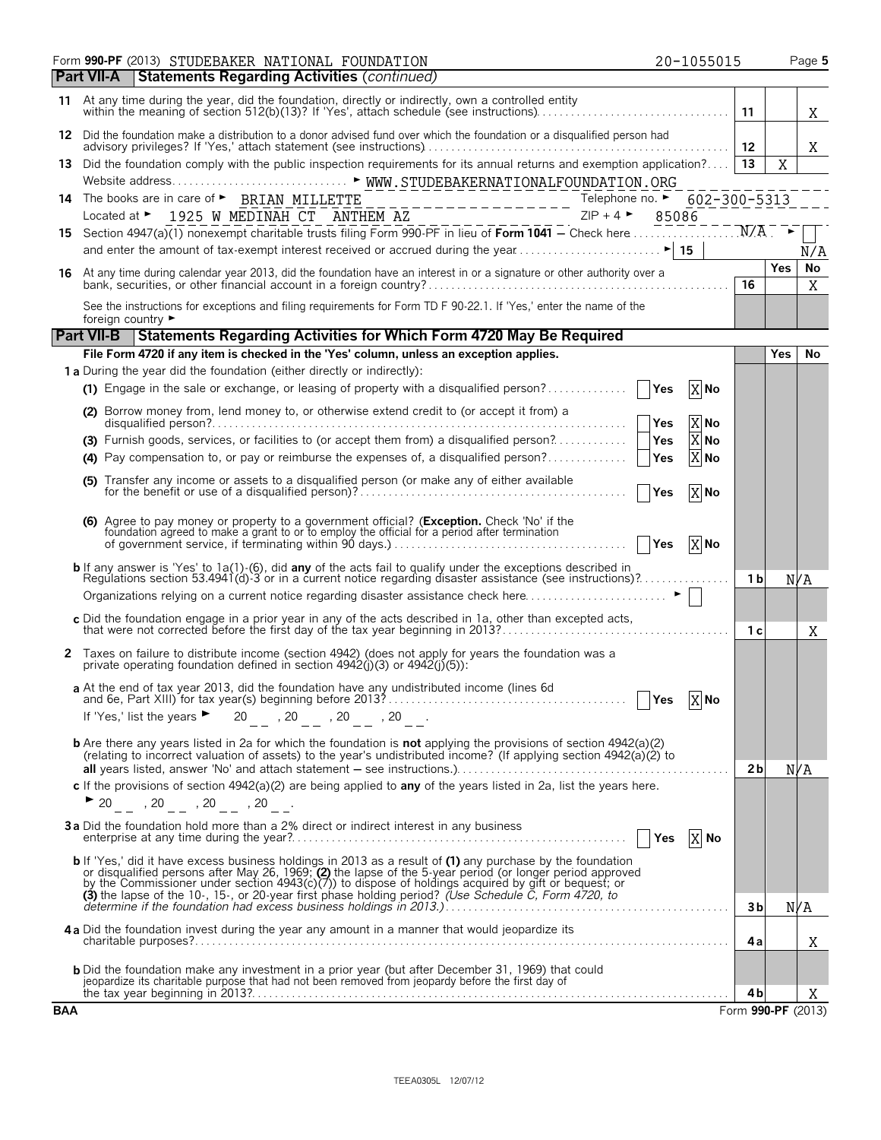| <b>Statements Regarding Activities (continued)</b><br>l Part VII-A<br>11 At any time during the year, did the foundation, directly or indirectly, own a controlled entity<br>11<br>X<br>12 Did the foundation make a distribution to a donor advised fund over which the foundation or a disqualified person had<br>Χ<br>13 Did the foundation comply with the public inspection requirements for its annual returns and exemption application? 13<br>X<br>14 The books are in care of $\triangleright$ BRIAN MILLETTE $\frac{1925}{1925}$ W MEDINAH CT ANTHEM AZ<br>Located at $\triangleright$ 1925 W MEDINAH CT ANTHEM AZ<br>15 Section 4947(a)(1) nonexempt charitable trusts filing Form 990-PF in lieu of <b>Form </b><br>N/A<br><b>No</b><br><b>Yes</b><br>16 At any time during calendar year 2013, did the foundation have an interest in or a signature or other authority over a<br>bank, securities, or other financial account in a foreign country?<br><b>16</b><br>X<br>See the instructions for exceptions and filing requirements for Form TD F 90-22.1. If 'Yes,' enter the name of the<br>foreign country ►<br><b>Part VII-B</b> Statements Regarding Activities for Which Form 4720 May Be Required<br>File Form 4720 if any item is checked in the 'Yes' column, unless an exception applies.<br><b>Yes</b><br>No<br>1 a During the year did the foundation (either directly or indirectly):<br>(1) Engage in the sale or exchange, or leasing of property with a disqualified person?    Yes<br>X No<br>(2) Borrow money from, lend money to, or otherwise extend credit to (or accept it from) a<br>X No<br>$\overline{X}$ No<br>$\overline{X}$ No<br>(4) Pay compensation to, or pay or reimburse the expenses of, a disqualified person?    Yes<br>(5) Transfer any income or assets to a disqualified person (or make any of either available<br>  Yes<br>X No<br>(6) Agree to pay money or property to a government official? (Exception. Check 'No' if the foundation agreed to make a grant to or to employ the official for a period after termination of government service, if terminatin<br>X No<br><b>b</b> If any answer is 'Yes' to 1a(1)-(6), did <b>any</b> of the acts fail to qualify under the exceptions described in<br>Regulations section 53.4941(d)-3 or in a current notice regarding disaster assistance (see instructions)?<br>1 <sub>b</sub><br>N/A<br>Organizations relying on a current notice regarding disaster assistance check here ▶ │ │<br>c Did the foundation engage in a prior year in any of the acts described in 1a, other than excepted acts,<br>that were not corrected before the first day of the tax year beginning in 2013?<br>1 <sup>c</sup><br>X<br>2 Taxes on failure to distribute income (section 4942) (does not apply for years the foundation was a<br>private operating foundation defined in section $4942(j)(3)$ or $4942(j)(5)$ :<br>a At the end of tax year 2013, did the foundation have any undistributed income (lines 6d<br>$Yes$ X No<br>If 'Yes,' list the years $\triangleright$ 20 _ , 20 _ , 20 _ , 20 _ .<br><b>b</b> Are there any years listed in 2a for which the foundation is <b>not</b> applying the provisions of section 4942(a)(2)<br>(relating to incorrect valuation of assets) to the year's undistributed income? (If applying section 4942(a)(2) to<br>2 <sub>b</sub><br>N/A<br>c If the provisions of section $4942(a)(2)$ are being applied to any of the years listed in 2a, list the years here.<br>$\triangleright$ 20 , 20 , 20 , 20 .<br>3a Did the foundation hold more than a 2% direct or indirect interest in any business<br>b If 'Yes,' did it have excess business holdings in 2013 as a result of (1) any purchase by the foundation<br>or disqualified persons after May 26, 1969; (2) the lapse of the 5-year period (or longer period approved<br>by the Commissioner under section 4943(c)(7)) to dispose of holdings acquired by gift or bequest; or<br>(3) the lapse of the 10-, 15-, or 20-year first phase holding period? (Use Schedule C, Form 4720, to determine if the foundation had excess business holdings in 2013.)<br>N/A<br>3b<br>4a Did the foundation invest during the year any amount in a manner that would jeopardize its<br>4a<br>Χ<br><b>b</b> Did the foundation make any investment in a prior year (but after December 31, 1969) that could<br>jeopardize its charitable purpose that had not been removed from jeopardy before the first day of<br>4b<br>Χ<br><b>BAA</b><br>Form 990-PF (2013) | Form 990-PF (2013) STUDEBAKER NATIONAL FOUNDATION<br>20-1055015 |  | Page 5 |
|----------------------------------------------------------------------------------------------------------------------------------------------------------------------------------------------------------------------------------------------------------------------------------------------------------------------------------------------------------------------------------------------------------------------------------------------------------------------------------------------------------------------------------------------------------------------------------------------------------------------------------------------------------------------------------------------------------------------------------------------------------------------------------------------------------------------------------------------------------------------------------------------------------------------------------------------------------------------------------------------------------------------------------------------------------------------------------------------------------------------------------------------------------------------------------------------------------------------------------------------------------------------------------------------------------------------------------------------------------------------------------------------------------------------------------------------------------------------------------------------------------------------------------------------------------------------------------------------------------------------------------------------------------------------------------------------------------------------------------------------------------------------------------------------------------------------------------------------------------------------------------------------------------------------------------------------------------------------------------------------------------------------------------------------------------------------------------------------------------------------------------------------------------------------------------------------------------------------------------------------------------------------------------------------------------------------------------------------------------------------------------------------------------------------------------------------------------------------------------------------------------------------------------------------------------------------------------------------------------------------------------------------------------------------------------------------------------------------------------------------------------------------------------------------------------------------------------------------------------------------------------------------------------------------------------------------------------------------------------------------------------------------------------------------------------------------------------------------------------------------------------------------------------------------------------------------------------------------------------------------------------------------------------------------------------------------------------------------------------------------------------------------------------------------------------------------------------------------------------------------------------------------------------------------------------------------------------------------------------------------------------------------------------------------------------------------------------------------------------------------------------------------------------------------------------------------------------------------------------------------------------------------------------------------------------------------------------------------------------------------------------------------------------------------------------------------------------------------------------------------------------------------------------------------------------------------------------------------------------------------------------------------------------------------------------------------------------------------------------------------------------------------------------------------------------------------------------------------------------------------------------------------------------------------------------|-----------------------------------------------------------------|--|--------|
|                                                                                                                                                                                                                                                                                                                                                                                                                                                                                                                                                                                                                                                                                                                                                                                                                                                                                                                                                                                                                                                                                                                                                                                                                                                                                                                                                                                                                                                                                                                                                                                                                                                                                                                                                                                                                                                                                                                                                                                                                                                                                                                                                                                                                                                                                                                                                                                                                                                                                                                                                                                                                                                                                                                                                                                                                                                                                                                                                                                                                                                                                                                                                                                                                                                                                                                                                                                                                                                                                                                                                                                                                                                                                                                                                                                                                                                                                                                                                                                                                                                                                                                                                                                                                                                                                                                                                                                                                                                                                                                                                          |                                                                 |  |        |
|                                                                                                                                                                                                                                                                                                                                                                                                                                                                                                                                                                                                                                                                                                                                                                                                                                                                                                                                                                                                                                                                                                                                                                                                                                                                                                                                                                                                                                                                                                                                                                                                                                                                                                                                                                                                                                                                                                                                                                                                                                                                                                                                                                                                                                                                                                                                                                                                                                                                                                                                                                                                                                                                                                                                                                                                                                                                                                                                                                                                                                                                                                                                                                                                                                                                                                                                                                                                                                                                                                                                                                                                                                                                                                                                                                                                                                                                                                                                                                                                                                                                                                                                                                                                                                                                                                                                                                                                                                                                                                                                                          |                                                                 |  |        |
|                                                                                                                                                                                                                                                                                                                                                                                                                                                                                                                                                                                                                                                                                                                                                                                                                                                                                                                                                                                                                                                                                                                                                                                                                                                                                                                                                                                                                                                                                                                                                                                                                                                                                                                                                                                                                                                                                                                                                                                                                                                                                                                                                                                                                                                                                                                                                                                                                                                                                                                                                                                                                                                                                                                                                                                                                                                                                                                                                                                                                                                                                                                                                                                                                                                                                                                                                                                                                                                                                                                                                                                                                                                                                                                                                                                                                                                                                                                                                                                                                                                                                                                                                                                                                                                                                                                                                                                                                                                                                                                                                          |                                                                 |  |        |
|                                                                                                                                                                                                                                                                                                                                                                                                                                                                                                                                                                                                                                                                                                                                                                                                                                                                                                                                                                                                                                                                                                                                                                                                                                                                                                                                                                                                                                                                                                                                                                                                                                                                                                                                                                                                                                                                                                                                                                                                                                                                                                                                                                                                                                                                                                                                                                                                                                                                                                                                                                                                                                                                                                                                                                                                                                                                                                                                                                                                                                                                                                                                                                                                                                                                                                                                                                                                                                                                                                                                                                                                                                                                                                                                                                                                                                                                                                                                                                                                                                                                                                                                                                                                                                                                                                                                                                                                                                                                                                                                                          |                                                                 |  |        |
|                                                                                                                                                                                                                                                                                                                                                                                                                                                                                                                                                                                                                                                                                                                                                                                                                                                                                                                                                                                                                                                                                                                                                                                                                                                                                                                                                                                                                                                                                                                                                                                                                                                                                                                                                                                                                                                                                                                                                                                                                                                                                                                                                                                                                                                                                                                                                                                                                                                                                                                                                                                                                                                                                                                                                                                                                                                                                                                                                                                                                                                                                                                                                                                                                                                                                                                                                                                                                                                                                                                                                                                                                                                                                                                                                                                                                                                                                                                                                                                                                                                                                                                                                                                                                                                                                                                                                                                                                                                                                                                                                          |                                                                 |  |        |
|                                                                                                                                                                                                                                                                                                                                                                                                                                                                                                                                                                                                                                                                                                                                                                                                                                                                                                                                                                                                                                                                                                                                                                                                                                                                                                                                                                                                                                                                                                                                                                                                                                                                                                                                                                                                                                                                                                                                                                                                                                                                                                                                                                                                                                                                                                                                                                                                                                                                                                                                                                                                                                                                                                                                                                                                                                                                                                                                                                                                                                                                                                                                                                                                                                                                                                                                                                                                                                                                                                                                                                                                                                                                                                                                                                                                                                                                                                                                                                                                                                                                                                                                                                                                                                                                                                                                                                                                                                                                                                                                                          |                                                                 |  |        |
|                                                                                                                                                                                                                                                                                                                                                                                                                                                                                                                                                                                                                                                                                                                                                                                                                                                                                                                                                                                                                                                                                                                                                                                                                                                                                                                                                                                                                                                                                                                                                                                                                                                                                                                                                                                                                                                                                                                                                                                                                                                                                                                                                                                                                                                                                                                                                                                                                                                                                                                                                                                                                                                                                                                                                                                                                                                                                                                                                                                                                                                                                                                                                                                                                                                                                                                                                                                                                                                                                                                                                                                                                                                                                                                                                                                                                                                                                                                                                                                                                                                                                                                                                                                                                                                                                                                                                                                                                                                                                                                                                          |                                                                 |  |        |
|                                                                                                                                                                                                                                                                                                                                                                                                                                                                                                                                                                                                                                                                                                                                                                                                                                                                                                                                                                                                                                                                                                                                                                                                                                                                                                                                                                                                                                                                                                                                                                                                                                                                                                                                                                                                                                                                                                                                                                                                                                                                                                                                                                                                                                                                                                                                                                                                                                                                                                                                                                                                                                                                                                                                                                                                                                                                                                                                                                                                                                                                                                                                                                                                                                                                                                                                                                                                                                                                                                                                                                                                                                                                                                                                                                                                                                                                                                                                                                                                                                                                                                                                                                                                                                                                                                                                                                                                                                                                                                                                                          |                                                                 |  |        |
|                                                                                                                                                                                                                                                                                                                                                                                                                                                                                                                                                                                                                                                                                                                                                                                                                                                                                                                                                                                                                                                                                                                                                                                                                                                                                                                                                                                                                                                                                                                                                                                                                                                                                                                                                                                                                                                                                                                                                                                                                                                                                                                                                                                                                                                                                                                                                                                                                                                                                                                                                                                                                                                                                                                                                                                                                                                                                                                                                                                                                                                                                                                                                                                                                                                                                                                                                                                                                                                                                                                                                                                                                                                                                                                                                                                                                                                                                                                                                                                                                                                                                                                                                                                                                                                                                                                                                                                                                                                                                                                                                          |                                                                 |  |        |
|                                                                                                                                                                                                                                                                                                                                                                                                                                                                                                                                                                                                                                                                                                                                                                                                                                                                                                                                                                                                                                                                                                                                                                                                                                                                                                                                                                                                                                                                                                                                                                                                                                                                                                                                                                                                                                                                                                                                                                                                                                                                                                                                                                                                                                                                                                                                                                                                                                                                                                                                                                                                                                                                                                                                                                                                                                                                                                                                                                                                                                                                                                                                                                                                                                                                                                                                                                                                                                                                                                                                                                                                                                                                                                                                                                                                                                                                                                                                                                                                                                                                                                                                                                                                                                                                                                                                                                                                                                                                                                                                                          |                                                                 |  |        |
|                                                                                                                                                                                                                                                                                                                                                                                                                                                                                                                                                                                                                                                                                                                                                                                                                                                                                                                                                                                                                                                                                                                                                                                                                                                                                                                                                                                                                                                                                                                                                                                                                                                                                                                                                                                                                                                                                                                                                                                                                                                                                                                                                                                                                                                                                                                                                                                                                                                                                                                                                                                                                                                                                                                                                                                                                                                                                                                                                                                                                                                                                                                                                                                                                                                                                                                                                                                                                                                                                                                                                                                                                                                                                                                                                                                                                                                                                                                                                                                                                                                                                                                                                                                                                                                                                                                                                                                                                                                                                                                                                          |                                                                 |  |        |
|                                                                                                                                                                                                                                                                                                                                                                                                                                                                                                                                                                                                                                                                                                                                                                                                                                                                                                                                                                                                                                                                                                                                                                                                                                                                                                                                                                                                                                                                                                                                                                                                                                                                                                                                                                                                                                                                                                                                                                                                                                                                                                                                                                                                                                                                                                                                                                                                                                                                                                                                                                                                                                                                                                                                                                                                                                                                                                                                                                                                                                                                                                                                                                                                                                                                                                                                                                                                                                                                                                                                                                                                                                                                                                                                                                                                                                                                                                                                                                                                                                                                                                                                                                                                                                                                                                                                                                                                                                                                                                                                                          |                                                                 |  |        |
|                                                                                                                                                                                                                                                                                                                                                                                                                                                                                                                                                                                                                                                                                                                                                                                                                                                                                                                                                                                                                                                                                                                                                                                                                                                                                                                                                                                                                                                                                                                                                                                                                                                                                                                                                                                                                                                                                                                                                                                                                                                                                                                                                                                                                                                                                                                                                                                                                                                                                                                                                                                                                                                                                                                                                                                                                                                                                                                                                                                                                                                                                                                                                                                                                                                                                                                                                                                                                                                                                                                                                                                                                                                                                                                                                                                                                                                                                                                                                                                                                                                                                                                                                                                                                                                                                                                                                                                                                                                                                                                                                          |                                                                 |  |        |
|                                                                                                                                                                                                                                                                                                                                                                                                                                                                                                                                                                                                                                                                                                                                                                                                                                                                                                                                                                                                                                                                                                                                                                                                                                                                                                                                                                                                                                                                                                                                                                                                                                                                                                                                                                                                                                                                                                                                                                                                                                                                                                                                                                                                                                                                                                                                                                                                                                                                                                                                                                                                                                                                                                                                                                                                                                                                                                                                                                                                                                                                                                                                                                                                                                                                                                                                                                                                                                                                                                                                                                                                                                                                                                                                                                                                                                                                                                                                                                                                                                                                                                                                                                                                                                                                                                                                                                                                                                                                                                                                                          |                                                                 |  |        |
|                                                                                                                                                                                                                                                                                                                                                                                                                                                                                                                                                                                                                                                                                                                                                                                                                                                                                                                                                                                                                                                                                                                                                                                                                                                                                                                                                                                                                                                                                                                                                                                                                                                                                                                                                                                                                                                                                                                                                                                                                                                                                                                                                                                                                                                                                                                                                                                                                                                                                                                                                                                                                                                                                                                                                                                                                                                                                                                                                                                                                                                                                                                                                                                                                                                                                                                                                                                                                                                                                                                                                                                                                                                                                                                                                                                                                                                                                                                                                                                                                                                                                                                                                                                                                                                                                                                                                                                                                                                                                                                                                          |                                                                 |  |        |
|                                                                                                                                                                                                                                                                                                                                                                                                                                                                                                                                                                                                                                                                                                                                                                                                                                                                                                                                                                                                                                                                                                                                                                                                                                                                                                                                                                                                                                                                                                                                                                                                                                                                                                                                                                                                                                                                                                                                                                                                                                                                                                                                                                                                                                                                                                                                                                                                                                                                                                                                                                                                                                                                                                                                                                                                                                                                                                                                                                                                                                                                                                                                                                                                                                                                                                                                                                                                                                                                                                                                                                                                                                                                                                                                                                                                                                                                                                                                                                                                                                                                                                                                                                                                                                                                                                                                                                                                                                                                                                                                                          |                                                                 |  |        |
|                                                                                                                                                                                                                                                                                                                                                                                                                                                                                                                                                                                                                                                                                                                                                                                                                                                                                                                                                                                                                                                                                                                                                                                                                                                                                                                                                                                                                                                                                                                                                                                                                                                                                                                                                                                                                                                                                                                                                                                                                                                                                                                                                                                                                                                                                                                                                                                                                                                                                                                                                                                                                                                                                                                                                                                                                                                                                                                                                                                                                                                                                                                                                                                                                                                                                                                                                                                                                                                                                                                                                                                                                                                                                                                                                                                                                                                                                                                                                                                                                                                                                                                                                                                                                                                                                                                                                                                                                                                                                                                                                          |                                                                 |  |        |
|                                                                                                                                                                                                                                                                                                                                                                                                                                                                                                                                                                                                                                                                                                                                                                                                                                                                                                                                                                                                                                                                                                                                                                                                                                                                                                                                                                                                                                                                                                                                                                                                                                                                                                                                                                                                                                                                                                                                                                                                                                                                                                                                                                                                                                                                                                                                                                                                                                                                                                                                                                                                                                                                                                                                                                                                                                                                                                                                                                                                                                                                                                                                                                                                                                                                                                                                                                                                                                                                                                                                                                                                                                                                                                                                                                                                                                                                                                                                                                                                                                                                                                                                                                                                                                                                                                                                                                                                                                                                                                                                                          |                                                                 |  |        |
|                                                                                                                                                                                                                                                                                                                                                                                                                                                                                                                                                                                                                                                                                                                                                                                                                                                                                                                                                                                                                                                                                                                                                                                                                                                                                                                                                                                                                                                                                                                                                                                                                                                                                                                                                                                                                                                                                                                                                                                                                                                                                                                                                                                                                                                                                                                                                                                                                                                                                                                                                                                                                                                                                                                                                                                                                                                                                                                                                                                                                                                                                                                                                                                                                                                                                                                                                                                                                                                                                                                                                                                                                                                                                                                                                                                                                                                                                                                                                                                                                                                                                                                                                                                                                                                                                                                                                                                                                                                                                                                                                          |                                                                 |  |        |
|                                                                                                                                                                                                                                                                                                                                                                                                                                                                                                                                                                                                                                                                                                                                                                                                                                                                                                                                                                                                                                                                                                                                                                                                                                                                                                                                                                                                                                                                                                                                                                                                                                                                                                                                                                                                                                                                                                                                                                                                                                                                                                                                                                                                                                                                                                                                                                                                                                                                                                                                                                                                                                                                                                                                                                                                                                                                                                                                                                                                                                                                                                                                                                                                                                                                                                                                                                                                                                                                                                                                                                                                                                                                                                                                                                                                                                                                                                                                                                                                                                                                                                                                                                                                                                                                                                                                                                                                                                                                                                                                                          |                                                                 |  |        |
|                                                                                                                                                                                                                                                                                                                                                                                                                                                                                                                                                                                                                                                                                                                                                                                                                                                                                                                                                                                                                                                                                                                                                                                                                                                                                                                                                                                                                                                                                                                                                                                                                                                                                                                                                                                                                                                                                                                                                                                                                                                                                                                                                                                                                                                                                                                                                                                                                                                                                                                                                                                                                                                                                                                                                                                                                                                                                                                                                                                                                                                                                                                                                                                                                                                                                                                                                                                                                                                                                                                                                                                                                                                                                                                                                                                                                                                                                                                                                                                                                                                                                                                                                                                                                                                                                                                                                                                                                                                                                                                                                          |                                                                 |  |        |
|                                                                                                                                                                                                                                                                                                                                                                                                                                                                                                                                                                                                                                                                                                                                                                                                                                                                                                                                                                                                                                                                                                                                                                                                                                                                                                                                                                                                                                                                                                                                                                                                                                                                                                                                                                                                                                                                                                                                                                                                                                                                                                                                                                                                                                                                                                                                                                                                                                                                                                                                                                                                                                                                                                                                                                                                                                                                                                                                                                                                                                                                                                                                                                                                                                                                                                                                                                                                                                                                                                                                                                                                                                                                                                                                                                                                                                                                                                                                                                                                                                                                                                                                                                                                                                                                                                                                                                                                                                                                                                                                                          |                                                                 |  |        |
|                                                                                                                                                                                                                                                                                                                                                                                                                                                                                                                                                                                                                                                                                                                                                                                                                                                                                                                                                                                                                                                                                                                                                                                                                                                                                                                                                                                                                                                                                                                                                                                                                                                                                                                                                                                                                                                                                                                                                                                                                                                                                                                                                                                                                                                                                                                                                                                                                                                                                                                                                                                                                                                                                                                                                                                                                                                                                                                                                                                                                                                                                                                                                                                                                                                                                                                                                                                                                                                                                                                                                                                                                                                                                                                                                                                                                                                                                                                                                                                                                                                                                                                                                                                                                                                                                                                                                                                                                                                                                                                                                          |                                                                 |  |        |
|                                                                                                                                                                                                                                                                                                                                                                                                                                                                                                                                                                                                                                                                                                                                                                                                                                                                                                                                                                                                                                                                                                                                                                                                                                                                                                                                                                                                                                                                                                                                                                                                                                                                                                                                                                                                                                                                                                                                                                                                                                                                                                                                                                                                                                                                                                                                                                                                                                                                                                                                                                                                                                                                                                                                                                                                                                                                                                                                                                                                                                                                                                                                                                                                                                                                                                                                                                                                                                                                                                                                                                                                                                                                                                                                                                                                                                                                                                                                                                                                                                                                                                                                                                                                                                                                                                                                                                                                                                                                                                                                                          |                                                                 |  |        |
|                                                                                                                                                                                                                                                                                                                                                                                                                                                                                                                                                                                                                                                                                                                                                                                                                                                                                                                                                                                                                                                                                                                                                                                                                                                                                                                                                                                                                                                                                                                                                                                                                                                                                                                                                                                                                                                                                                                                                                                                                                                                                                                                                                                                                                                                                                                                                                                                                                                                                                                                                                                                                                                                                                                                                                                                                                                                                                                                                                                                                                                                                                                                                                                                                                                                                                                                                                                                                                                                                                                                                                                                                                                                                                                                                                                                                                                                                                                                                                                                                                                                                                                                                                                                                                                                                                                                                                                                                                                                                                                                                          |                                                                 |  |        |
|                                                                                                                                                                                                                                                                                                                                                                                                                                                                                                                                                                                                                                                                                                                                                                                                                                                                                                                                                                                                                                                                                                                                                                                                                                                                                                                                                                                                                                                                                                                                                                                                                                                                                                                                                                                                                                                                                                                                                                                                                                                                                                                                                                                                                                                                                                                                                                                                                                                                                                                                                                                                                                                                                                                                                                                                                                                                                                                                                                                                                                                                                                                                                                                                                                                                                                                                                                                                                                                                                                                                                                                                                                                                                                                                                                                                                                                                                                                                                                                                                                                                                                                                                                                                                                                                                                                                                                                                                                                                                                                                                          |                                                                 |  |        |
|                                                                                                                                                                                                                                                                                                                                                                                                                                                                                                                                                                                                                                                                                                                                                                                                                                                                                                                                                                                                                                                                                                                                                                                                                                                                                                                                                                                                                                                                                                                                                                                                                                                                                                                                                                                                                                                                                                                                                                                                                                                                                                                                                                                                                                                                                                                                                                                                                                                                                                                                                                                                                                                                                                                                                                                                                                                                                                                                                                                                                                                                                                                                                                                                                                                                                                                                                                                                                                                                                                                                                                                                                                                                                                                                                                                                                                                                                                                                                                                                                                                                                                                                                                                                                                                                                                                                                                                                                                                                                                                                                          |                                                                 |  |        |
|                                                                                                                                                                                                                                                                                                                                                                                                                                                                                                                                                                                                                                                                                                                                                                                                                                                                                                                                                                                                                                                                                                                                                                                                                                                                                                                                                                                                                                                                                                                                                                                                                                                                                                                                                                                                                                                                                                                                                                                                                                                                                                                                                                                                                                                                                                                                                                                                                                                                                                                                                                                                                                                                                                                                                                                                                                                                                                                                                                                                                                                                                                                                                                                                                                                                                                                                                                                                                                                                                                                                                                                                                                                                                                                                                                                                                                                                                                                                                                                                                                                                                                                                                                                                                                                                                                                                                                                                                                                                                                                                                          |                                                                 |  |        |
|                                                                                                                                                                                                                                                                                                                                                                                                                                                                                                                                                                                                                                                                                                                                                                                                                                                                                                                                                                                                                                                                                                                                                                                                                                                                                                                                                                                                                                                                                                                                                                                                                                                                                                                                                                                                                                                                                                                                                                                                                                                                                                                                                                                                                                                                                                                                                                                                                                                                                                                                                                                                                                                                                                                                                                                                                                                                                                                                                                                                                                                                                                                                                                                                                                                                                                                                                                                                                                                                                                                                                                                                                                                                                                                                                                                                                                                                                                                                                                                                                                                                                                                                                                                                                                                                                                                                                                                                                                                                                                                                                          |                                                                 |  |        |
|                                                                                                                                                                                                                                                                                                                                                                                                                                                                                                                                                                                                                                                                                                                                                                                                                                                                                                                                                                                                                                                                                                                                                                                                                                                                                                                                                                                                                                                                                                                                                                                                                                                                                                                                                                                                                                                                                                                                                                                                                                                                                                                                                                                                                                                                                                                                                                                                                                                                                                                                                                                                                                                                                                                                                                                                                                                                                                                                                                                                                                                                                                                                                                                                                                                                                                                                                                                                                                                                                                                                                                                                                                                                                                                                                                                                                                                                                                                                                                                                                                                                                                                                                                                                                                                                                                                                                                                                                                                                                                                                                          |                                                                 |  |        |
|                                                                                                                                                                                                                                                                                                                                                                                                                                                                                                                                                                                                                                                                                                                                                                                                                                                                                                                                                                                                                                                                                                                                                                                                                                                                                                                                                                                                                                                                                                                                                                                                                                                                                                                                                                                                                                                                                                                                                                                                                                                                                                                                                                                                                                                                                                                                                                                                                                                                                                                                                                                                                                                                                                                                                                                                                                                                                                                                                                                                                                                                                                                                                                                                                                                                                                                                                                                                                                                                                                                                                                                                                                                                                                                                                                                                                                                                                                                                                                                                                                                                                                                                                                                                                                                                                                                                                                                                                                                                                                                                                          |                                                                 |  |        |
|                                                                                                                                                                                                                                                                                                                                                                                                                                                                                                                                                                                                                                                                                                                                                                                                                                                                                                                                                                                                                                                                                                                                                                                                                                                                                                                                                                                                                                                                                                                                                                                                                                                                                                                                                                                                                                                                                                                                                                                                                                                                                                                                                                                                                                                                                                                                                                                                                                                                                                                                                                                                                                                                                                                                                                                                                                                                                                                                                                                                                                                                                                                                                                                                                                                                                                                                                                                                                                                                                                                                                                                                                                                                                                                                                                                                                                                                                                                                                                                                                                                                                                                                                                                                                                                                                                                                                                                                                                                                                                                                                          |                                                                 |  |        |
|                                                                                                                                                                                                                                                                                                                                                                                                                                                                                                                                                                                                                                                                                                                                                                                                                                                                                                                                                                                                                                                                                                                                                                                                                                                                                                                                                                                                                                                                                                                                                                                                                                                                                                                                                                                                                                                                                                                                                                                                                                                                                                                                                                                                                                                                                                                                                                                                                                                                                                                                                                                                                                                                                                                                                                                                                                                                                                                                                                                                                                                                                                                                                                                                                                                                                                                                                                                                                                                                                                                                                                                                                                                                                                                                                                                                                                                                                                                                                                                                                                                                                                                                                                                                                                                                                                                                                                                                                                                                                                                                                          |                                                                 |  |        |
|                                                                                                                                                                                                                                                                                                                                                                                                                                                                                                                                                                                                                                                                                                                                                                                                                                                                                                                                                                                                                                                                                                                                                                                                                                                                                                                                                                                                                                                                                                                                                                                                                                                                                                                                                                                                                                                                                                                                                                                                                                                                                                                                                                                                                                                                                                                                                                                                                                                                                                                                                                                                                                                                                                                                                                                                                                                                                                                                                                                                                                                                                                                                                                                                                                                                                                                                                                                                                                                                                                                                                                                                                                                                                                                                                                                                                                                                                                                                                                                                                                                                                                                                                                                                                                                                                                                                                                                                                                                                                                                                                          |                                                                 |  |        |
|                                                                                                                                                                                                                                                                                                                                                                                                                                                                                                                                                                                                                                                                                                                                                                                                                                                                                                                                                                                                                                                                                                                                                                                                                                                                                                                                                                                                                                                                                                                                                                                                                                                                                                                                                                                                                                                                                                                                                                                                                                                                                                                                                                                                                                                                                                                                                                                                                                                                                                                                                                                                                                                                                                                                                                                                                                                                                                                                                                                                                                                                                                                                                                                                                                                                                                                                                                                                                                                                                                                                                                                                                                                                                                                                                                                                                                                                                                                                                                                                                                                                                                                                                                                                                                                                                                                                                                                                                                                                                                                                                          |                                                                 |  |        |
|                                                                                                                                                                                                                                                                                                                                                                                                                                                                                                                                                                                                                                                                                                                                                                                                                                                                                                                                                                                                                                                                                                                                                                                                                                                                                                                                                                                                                                                                                                                                                                                                                                                                                                                                                                                                                                                                                                                                                                                                                                                                                                                                                                                                                                                                                                                                                                                                                                                                                                                                                                                                                                                                                                                                                                                                                                                                                                                                                                                                                                                                                                                                                                                                                                                                                                                                                                                                                                                                                                                                                                                                                                                                                                                                                                                                                                                                                                                                                                                                                                                                                                                                                                                                                                                                                                                                                                                                                                                                                                                                                          |                                                                 |  |        |
|                                                                                                                                                                                                                                                                                                                                                                                                                                                                                                                                                                                                                                                                                                                                                                                                                                                                                                                                                                                                                                                                                                                                                                                                                                                                                                                                                                                                                                                                                                                                                                                                                                                                                                                                                                                                                                                                                                                                                                                                                                                                                                                                                                                                                                                                                                                                                                                                                                                                                                                                                                                                                                                                                                                                                                                                                                                                                                                                                                                                                                                                                                                                                                                                                                                                                                                                                                                                                                                                                                                                                                                                                                                                                                                                                                                                                                                                                                                                                                                                                                                                                                                                                                                                                                                                                                                                                                                                                                                                                                                                                          |                                                                 |  |        |
|                                                                                                                                                                                                                                                                                                                                                                                                                                                                                                                                                                                                                                                                                                                                                                                                                                                                                                                                                                                                                                                                                                                                                                                                                                                                                                                                                                                                                                                                                                                                                                                                                                                                                                                                                                                                                                                                                                                                                                                                                                                                                                                                                                                                                                                                                                                                                                                                                                                                                                                                                                                                                                                                                                                                                                                                                                                                                                                                                                                                                                                                                                                                                                                                                                                                                                                                                                                                                                                                                                                                                                                                                                                                                                                                                                                                                                                                                                                                                                                                                                                                                                                                                                                                                                                                                                                                                                                                                                                                                                                                                          |                                                                 |  |        |
|                                                                                                                                                                                                                                                                                                                                                                                                                                                                                                                                                                                                                                                                                                                                                                                                                                                                                                                                                                                                                                                                                                                                                                                                                                                                                                                                                                                                                                                                                                                                                                                                                                                                                                                                                                                                                                                                                                                                                                                                                                                                                                                                                                                                                                                                                                                                                                                                                                                                                                                                                                                                                                                                                                                                                                                                                                                                                                                                                                                                                                                                                                                                                                                                                                                                                                                                                                                                                                                                                                                                                                                                                                                                                                                                                                                                                                                                                                                                                                                                                                                                                                                                                                                                                                                                                                                                                                                                                                                                                                                                                          |                                                                 |  |        |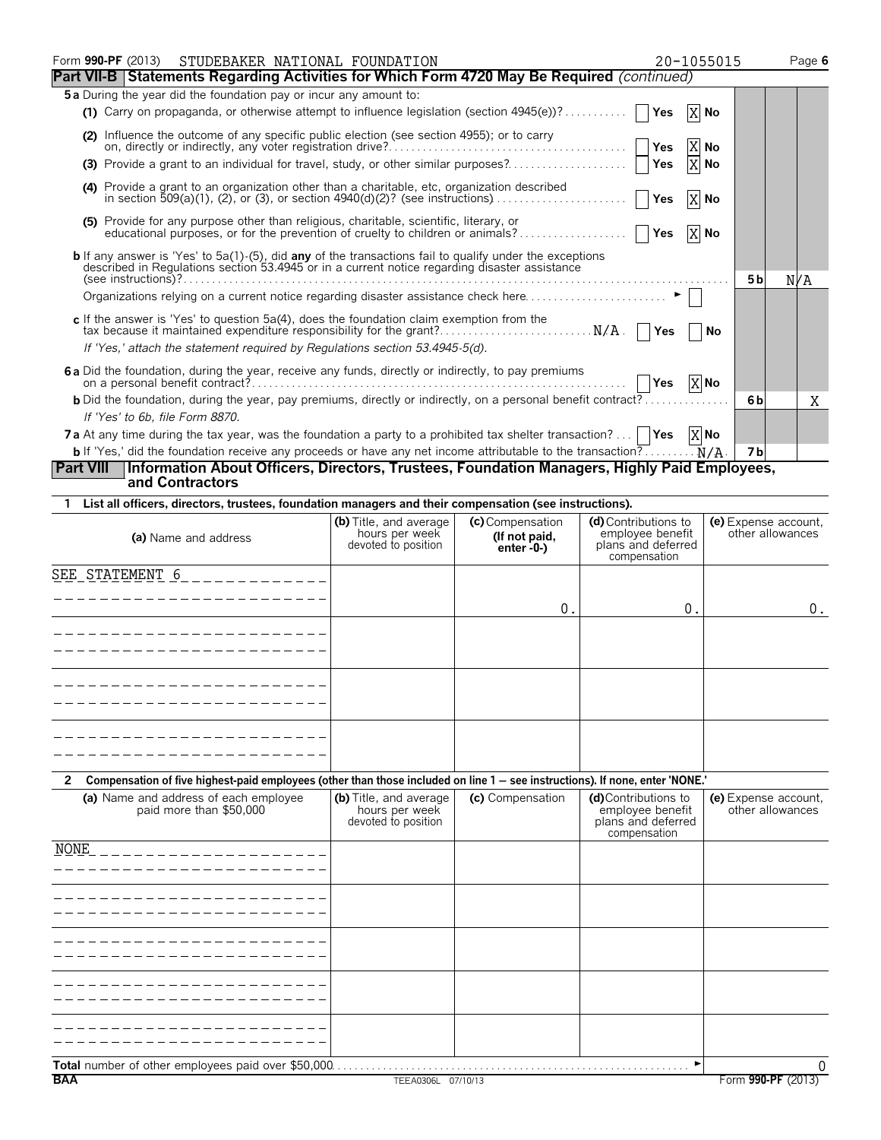| Form 990-PF (2013) STUDEBAKER NATIONAL FOUNDATION                                                                                                                                                                                                       |                                                                 |                                                  | 20-1055015                                                                     |                      | Page 6           |
|---------------------------------------------------------------------------------------------------------------------------------------------------------------------------------------------------------------------------------------------------------|-----------------------------------------------------------------|--------------------------------------------------|--------------------------------------------------------------------------------|----------------------|------------------|
| Part VII-B Statements Regarding Activities for Which Form 4720 May Be Required (continued)                                                                                                                                                              |                                                                 |                                                  |                                                                                |                      |                  |
| 5a During the year did the foundation pay or incur any amount to:                                                                                                                                                                                       |                                                                 |                                                  |                                                                                |                      |                  |
| (1) Carry on propaganda, or otherwise attempt to influence legislation (section $4945(e)$ )?                                                                                                                                                            |                                                                 |                                                  | Yes                                                                            | X No                 |                  |
| (2) Influence the outcome of any specific public election (see section 4955); or to carry                                                                                                                                                               |                                                                 |                                                  | Yes                                                                            | X No                 |                  |
| (3) Provide a grant to an individual for travel, study, or other similar purposes?                                                                                                                                                                      |                                                                 |                                                  | Yes                                                                            | X No                 |                  |
| (4) Provide a grant to an organization other than a charitable, etc, organization described                                                                                                                                                             |                                                                 |                                                  | Yes                                                                            | X No                 |                  |
| (5) Provide for any purpose other than religious, charitable, scientific, literary, or<br>educational purposes, or for the prevention of cruelty to children or animals?                                                                                |                                                                 |                                                  | Yes                                                                            | X No                 |                  |
| <b>b</b> If any answer is 'Yes' to 5a(1)-(5), did <b>any</b> of the transactions fail to qualify under the exceptions described in Regulations section 53.4945 or in a current notice regarding disaster assistance                                     |                                                                 |                                                  |                                                                                | 5 b                  | N/A              |
|                                                                                                                                                                                                                                                         |                                                                 |                                                  |                                                                                |                      |                  |
| c If the answer is 'Yes' to question $5a(4)$ , does the foundation claim exemption from the<br>tax because it maintained expenditure responsibility for the grant? N/A.<br>If 'Yes,' attach the statement required by Regulations section 53.4945-5(d). |                                                                 |                                                  | Yes                                                                            | No                   |                  |
| 6a Did the foundation, during the year, receive any funds, directly or indirectly, to pay premiums                                                                                                                                                      |                                                                 |                                                  | $ $ $ $ Yes                                                                    | X No                 |                  |
| <b>b</b> Did the foundation, during the year, pay premiums, directly or indirectly, on a personal benefit contract?                                                                                                                                     |                                                                 |                                                  |                                                                                | 6b                   | X                |
| If 'Yes' to 6b, file Form 8870.<br><b>7a</b> At any time during the tax year, was the foundation a party to a prohibited tax shelter transaction?   <b>Yes</b> $\begin{bmatrix} X \end{bmatrix}$ No                                                     |                                                                 |                                                  |                                                                                |                      |                  |
|                                                                                                                                                                                                                                                         |                                                                 |                                                  |                                                                                | 7 <sub>b</sub>       |                  |
| Part VIII   Information About Officers, Directors, Trustees, Foundation Managers, Highly Paid Employees,<br>and Contractors                                                                                                                             |                                                                 |                                                  |                                                                                |                      |                  |
| List all officers, directors, trustees, foundation managers and their compensation (see instructions).                                                                                                                                                  |                                                                 |                                                  |                                                                                |                      |                  |
| (a) Name and address                                                                                                                                                                                                                                    | (b) Title, and average<br>hours per week<br>devoted to position | (c) Compensation<br>(If not paid,<br>$enter -0-$ | (d) Contributions to<br>employee benefit<br>plans and deferred<br>compensation | (e) Expense account. | other allowances |
| SEE STATEMENT $6$ _ _ _ _ _ _ _ _ _ _ _                                                                                                                                                                                                                 |                                                                 |                                                  |                                                                                |                      |                  |
|                                                                                                                                                                                                                                                         |                                                                 | $0$ .                                            | 0.                                                                             |                      | 0.               |
|                                                                                                                                                                                                                                                         |                                                                 |                                                  |                                                                                |                      |                  |
| ----------------------                                                                                                                                                                                                                                  |                                                                 |                                                  |                                                                                |                      |                  |

| Compensation of five highest-paid employees (other than those included on line 1 – see instructions). If none, enter 'NONE.' |                                                                 |                  |                                                               |                                          |  |  |  |
|------------------------------------------------------------------------------------------------------------------------------|-----------------------------------------------------------------|------------------|---------------------------------------------------------------|------------------------------------------|--|--|--|
| (a) Name and address of each employee<br>paid more than \$50,000                                                             | (b) Title, and average<br>hours per week<br>devoted to position | (c) Compensation | (d)Contributions to<br>employee benefit<br>plans and deferred | (e) Expense account,<br>other allowances |  |  |  |

| paid more than \$50,000                             | nours per week<br>devoted to position | employee benefit<br>plans and deferred<br>compensation | other allowances |
|-----------------------------------------------------|---------------------------------------|--------------------------------------------------------|------------------|
| <b>NONE</b>                                         |                                       |                                                        |                  |
|                                                     |                                       |                                                        |                  |
|                                                     |                                       |                                                        |                  |
|                                                     |                                       |                                                        |                  |
|                                                     |                                       |                                                        |                  |
| Total number of other employees paid over \$50,000. |                                       | .                                                      | 0                |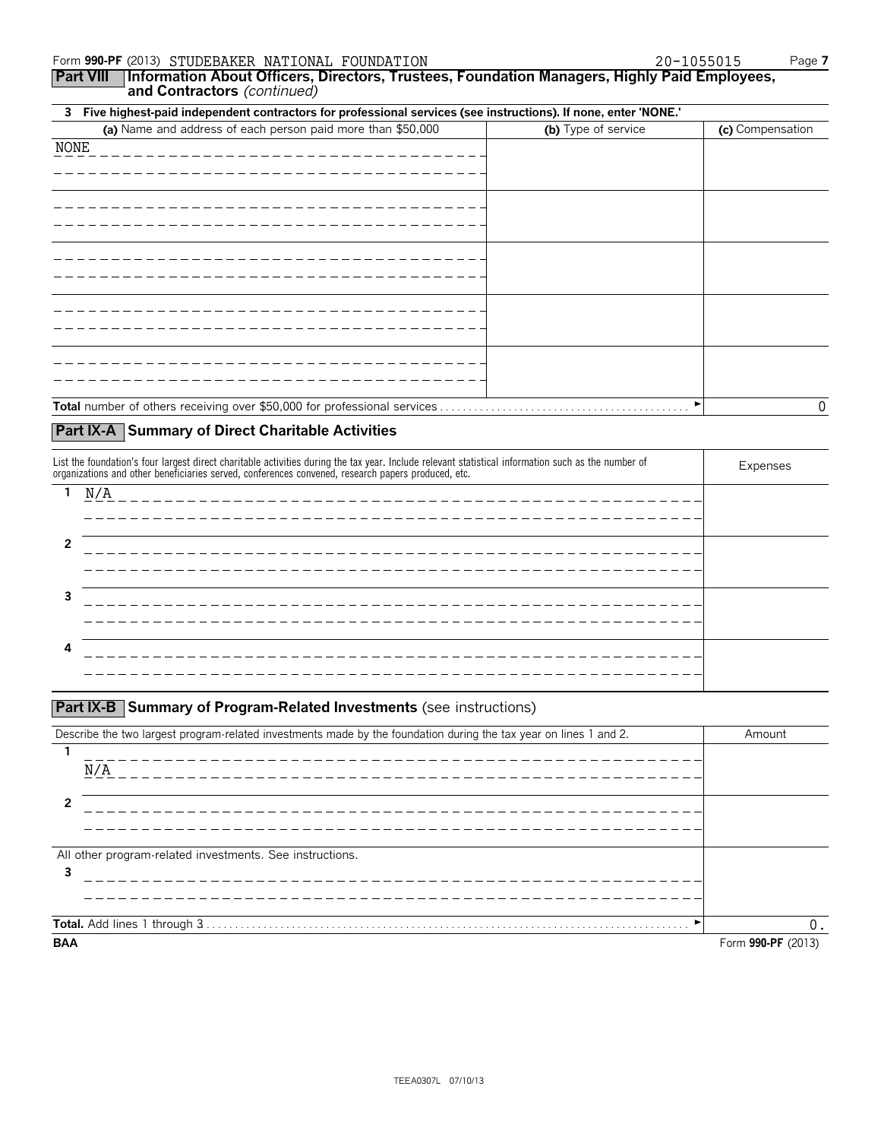**Part VIII Information About Officers, Directors, Trustees, Foundation Managers, Highly Paid Employees, and Contractors** *(continued)*

### **3 Five highest-paid independent contractors for professional services (see instructions). If none, enter 'NONE.'**

| (a) Name and address of each person paid more than \$50,000 | (b) Type of service | (c) Compensation |
|-------------------------------------------------------------|---------------------|------------------|
| NONE<br>_____________________                               |                     |                  |
|                                                             |                     |                  |
|                                                             |                     |                  |
|                                                             |                     |                  |
|                                                             |                     |                  |
|                                                             |                     |                  |
|                                                             |                     |                  |
|                                                             |                     |                  |
|                                                             |                     |                  |
|                                                             |                     |                  |
|                                                             |                     |                  |
|                                                             |                     |                  |
|                                                             |                     |                  |
|                                                             |                     |                  |
|                                                             |                     | 0                |

### **Part IX-A Summary of Direct Charitable Activities**

| List the foundation's four largest direct charitable activities during the tax year. Include relevant statistical information such as the number of<br>organizations and other beneficiaries served, conferences convened, research papers produced, etc. | Expenses                                |  |
|-----------------------------------------------------------------------------------------------------------------------------------------------------------------------------------------------------------------------------------------------------------|-----------------------------------------|--|
|                                                                                                                                                                                                                                                           | N/A<br>-------------------------------- |  |
|                                                                                                                                                                                                                                                           | ------------                            |  |
|                                                                                                                                                                                                                                                           |                                         |  |
|                                                                                                                                                                                                                                                           | _________________                       |  |
|                                                                                                                                                                                                                                                           |                                         |  |
|                                                                                                                                                                                                                                                           | _________________________               |  |
|                                                                                                                                                                                                                                                           |                                         |  |
|                                                                                                                                                                                                                                                           |                                         |  |

### **Part IX-B** Summary of Program-Related Investments (see instructions)

| Describe the two largest program-related investments made by the foundation during the tax year on lines 1 and 2. | Amount             |
|-------------------------------------------------------------------------------------------------------------------|--------------------|
| ____________________________                                                                                      |                    |
| N/A                                                                                                               |                    |
| ______________________                                                                                            |                    |
|                                                                                                                   |                    |
| All other program-related investments. See instructions.                                                          |                    |
| 3                                                                                                                 |                    |
|                                                                                                                   |                    |
|                                                                                                                   |                    |
|                                                                                                                   | $\Omega$           |
| <b>BAA</b>                                                                                                        | Form 990-PF (2013) |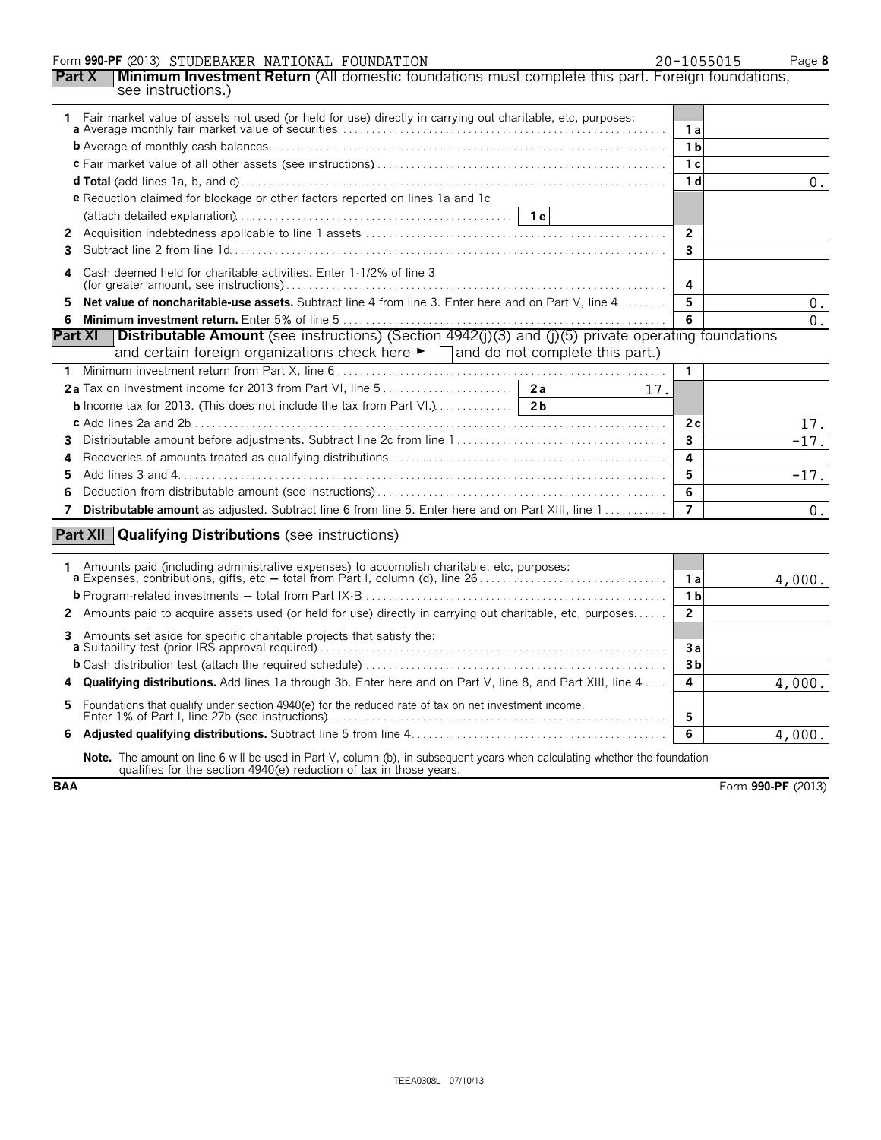### Form **990-PF** (2013) Page **8** STUDEBAKER NATIONAL FOUNDATION 20-1055015

|                     |                                                                                                                   | --------- |
|---------------------|-------------------------------------------------------------------------------------------------------------------|-----------|
|                     | <b>Part X</b>   Minimum Investment Return (All domestic foundations must complete this part. Foreign foundations, |           |
| see instructions.)" |                                                                                                                   |           |

|   | 1 Fair market value of assets not used (or held for use) directly in carrying out charitable, etc, purposes:                                                                                     | 1 a                     |                    |
|---|--------------------------------------------------------------------------------------------------------------------------------------------------------------------------------------------------|-------------------------|--------------------|
|   |                                                                                                                                                                                                  | 1 <sub>b</sub>          |                    |
|   |                                                                                                                                                                                                  | 1 <sub>c</sub>          |                    |
|   |                                                                                                                                                                                                  | 1 <sub>d</sub>          | 0.                 |
|   | e Reduction claimed for blockage or other factors reported on lines 1a and 1c                                                                                                                    |                         |                    |
|   |                                                                                                                                                                                                  |                         |                    |
| 2 |                                                                                                                                                                                                  | $\overline{2}$          |                    |
| 3 |                                                                                                                                                                                                  | $\overline{\mathbf{3}}$ |                    |
|   |                                                                                                                                                                                                  |                         |                    |
| 4 | Cash deemed held for charitable activities. Enter 1-1/2% of line 3                                                                                                                               | 4                       |                    |
| 5 | Net value of noncharitable-use assets. Subtract line 4 from line 3. Enter here and on Part V, line 4                                                                                             | 5                       | 0.                 |
| 6 |                                                                                                                                                                                                  | 6                       | $0$ .              |
|   | Distributable Amount (see instructions) (Section 4942(j)(3) and (j)(5) private operating foundations<br><b>Part XI</b>                                                                           |                         |                    |
|   | and certain foreign organizations check here $\blacktriangleright \Box$ and do not complete this part.)                                                                                          |                         |                    |
|   |                                                                                                                                                                                                  | 1                       |                    |
|   | 17.                                                                                                                                                                                              |                         |                    |
|   |                                                                                                                                                                                                  |                         |                    |
|   |                                                                                                                                                                                                  | 2c                      | 17.                |
| 3 |                                                                                                                                                                                                  | $\overline{\mathbf{3}}$ | $\overline{-17}$ . |
| 4 |                                                                                                                                                                                                  | 4                       |                    |
| 5 |                                                                                                                                                                                                  | 5                       | $-17.$             |
| 6 |                                                                                                                                                                                                  | 6                       |                    |
| 7 | <b>Distributable amount</b> as adjusted. Subtract line 6 from line 5. Enter here and on Part XIII, line 1                                                                                        | $\overline{7}$          | $0$ .              |
|   |                                                                                                                                                                                                  |                         |                    |
|   | <b>Part XII</b> Qualifying Distributions (see instructions)                                                                                                                                      |                         |                    |
|   | 1 Amounts paid (including administrative expenses) to accomplish charitable, etc, purposes:                                                                                                      |                         |                    |
|   |                                                                                                                                                                                                  | 1a<br>1 <sub>b</sub>    | 4,000.             |
|   |                                                                                                                                                                                                  | $\overline{2}$          |                    |
|   | 2 Amounts paid to acquire assets used (or held for use) directly in carrying out charitable, etc, purposes                                                                                       |                         |                    |
|   | 3 Amounts set aside for specific charitable projects that satisfy the:<br><b>a</b> Suitability test (prior IRS approval required)                                                                | 3a                      |                    |
|   |                                                                                                                                                                                                  | 3 <sub>b</sub>          |                    |
| 4 | <b>Qualifying distributions.</b> Add lines 1a through 3b. Enter here and on Part V, line 8, and Part XIII, line 4                                                                                | 4                       | 4,000.             |
| 5 | Foundations that qualify under section 4940(e) for the reduced rate of tax on net investment income.                                                                                             | 5                       |                    |
| 6 |                                                                                                                                                                                                  | 6                       | 4,000.             |
|   | Note. The amount on line 6 will be used in Part V, column (b), in subsequent years when calculating whether the foundation<br>qualifies for the section 4940(e) reduction of tax in those years. |                         |                    |

**BAA** Form 990-PF (2013)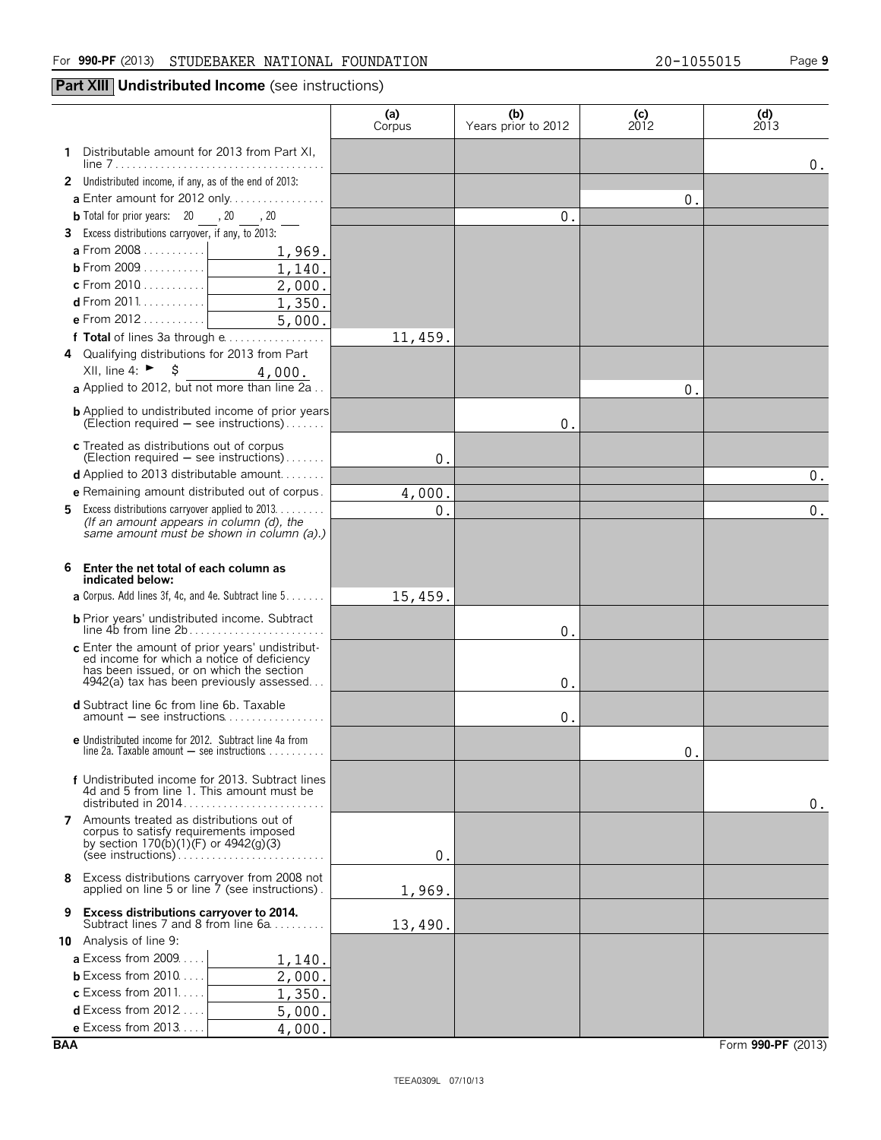### **Part XIII** Undistributed Income (see instructions)

|                                                                                                                                                                               | (a)<br>Corpus | (b)<br>Years prior to 2012 | (c)<br>2012 | $\begin{array}{c} \text{(d)} \\ \text{2013} \end{array}$ |
|-------------------------------------------------------------------------------------------------------------------------------------------------------------------------------|---------------|----------------------------|-------------|----------------------------------------------------------|
| Distributable amount for 2013 from Part XI,<br>1                                                                                                                              |               |                            |             | 0.                                                       |
| 2 Undistributed income, if any, as of the end of 2013:                                                                                                                        |               |                            |             |                                                          |
| <b>a</b> Enter amount for 2012 only                                                                                                                                           |               |                            | 0.          |                                                          |
| <b>b</b> Total for prior years: $20 \underline{\hspace{1cm}} 20 \underline{\hspace{1cm}} 20 \underline{\hspace{1cm}} 20 \underline{\hspace{1cm}} 20 \underline{\hspace{1cm}}$ |               | 0.                         |             |                                                          |
| 3 Excess distributions carryover, if any, to 2013:                                                                                                                            |               |                            |             |                                                          |
| <b>a</b> From 2008 $1,969$ .                                                                                                                                                  |               |                            |             |                                                          |
|                                                                                                                                                                               |               |                            |             |                                                          |
|                                                                                                                                                                               |               |                            |             |                                                          |
| <b>d</b> From 2011. <u>  1, 350.</u>                                                                                                                                          |               |                            |             |                                                          |
| <b>e</b> From 2012 5, 000.                                                                                                                                                    |               |                            |             |                                                          |
| f Total of lines 3a through e                                                                                                                                                 | 11,459.       |                            |             |                                                          |
| 4 Qualifying distributions for 2013 from Part                                                                                                                                 |               |                            |             |                                                          |
| XII, line 4: ► $$$<br><b>a</b> Applied to 2012, but not more than line 2a                                                                                                     |               |                            |             |                                                          |
|                                                                                                                                                                               |               |                            | 0.          |                                                          |
| <b>b</b> Applied to undistributed income of prior years<br>(Election required $-$ see instructions).                                                                          |               | 0.                         |             |                                                          |
| c Treated as distributions out of corpus                                                                                                                                      |               |                            |             |                                                          |
| (Election required $-$ see instructions)                                                                                                                                      | 0.            |                            |             |                                                          |
| <b>d</b> Applied to 2013 distributable amount                                                                                                                                 |               |                            |             | $0$ .                                                    |
| e Remaining amount distributed out of corpus.                                                                                                                                 | 4,000.        |                            |             |                                                          |
| <b>5</b> Excess distributions carryover applied to 2013.<br>(If an amount appears in column (d), the                                                                          | $0$ .         |                            |             | $0$ .                                                    |
| same amount must be shown in column (a).)                                                                                                                                     |               |                            |             |                                                          |
|                                                                                                                                                                               |               |                            |             |                                                          |
| 6<br>Enter the net total of each column as                                                                                                                                    |               |                            |             |                                                          |
| indicated below:                                                                                                                                                              |               |                            |             |                                                          |
| <b>a</b> Corpus. Add lines 3f, 4c, and 4e. Subtract line $5 \ldots \ldots$                                                                                                    | 15,459.       |                            |             |                                                          |
|                                                                                                                                                                               |               | 0.                         |             |                                                          |
|                                                                                                                                                                               |               |                            |             |                                                          |
| c Enter the amount of prior years' undistributed income for which a notice of deficiency                                                                                      |               |                            |             |                                                          |
| has been issued, or on which the section<br>4942(a) tax has been previously assessed                                                                                          |               | 0.                         |             |                                                          |
|                                                                                                                                                                               |               |                            |             |                                                          |
| d Subtract line 6c from line 6b. Taxable                                                                                                                                      |               | 0.                         |             |                                                          |
| e Undistributed income for 2012. Subtract line 4a from                                                                                                                        |               |                            |             |                                                          |
| line 2a. Taxable amount $-$ see instructions $\ldots \ldots \ldots$                                                                                                           |               |                            | 0           |                                                          |
| f Undistributed income for 2013. Subtract lines                                                                                                                               |               |                            |             |                                                          |
| 4d and 5 from line 1. This amount must be                                                                                                                                     |               |                            |             |                                                          |
|                                                                                                                                                                               |               |                            |             | 0.                                                       |
| 7 Amounts treated as distributions out of<br>corpus to satisfy requirements imposed                                                                                           |               |                            |             |                                                          |
| by section $170(b)(1)(F)$ or $4942(g)(3)$                                                                                                                                     |               |                            |             |                                                          |
|                                                                                                                                                                               | 0.            |                            |             |                                                          |
| Excess distributions carryover from 2008 not<br>8<br>applied on line 5 or line 7 (see instructions).                                                                          | 1,969.        |                            |             |                                                          |
| <b>Excess distributions carryover to 2014.</b><br>9<br>Subtract lines 7 and 8 from line 6a                                                                                    | 13,490.       |                            |             |                                                          |
| 10 Analysis of line 9:                                                                                                                                                        |               |                            |             |                                                          |
| <b>a</b> Excess from 2009<br>1,140.                                                                                                                                           |               |                            |             |                                                          |
| <b>b</b> Excess from $2010$<br>2,000.                                                                                                                                         |               |                            |             |                                                          |
| $c$ Excess from 2011<br>1,350.                                                                                                                                                |               |                            |             |                                                          |
| <b>d</b> Excess from 2012<br>5,000.<br>$\mathbf{1}$                                                                                                                           |               |                            |             |                                                          |
| <b>e</b> Excess from $2013$<br>4,000.                                                                                                                                         |               |                            |             |                                                          |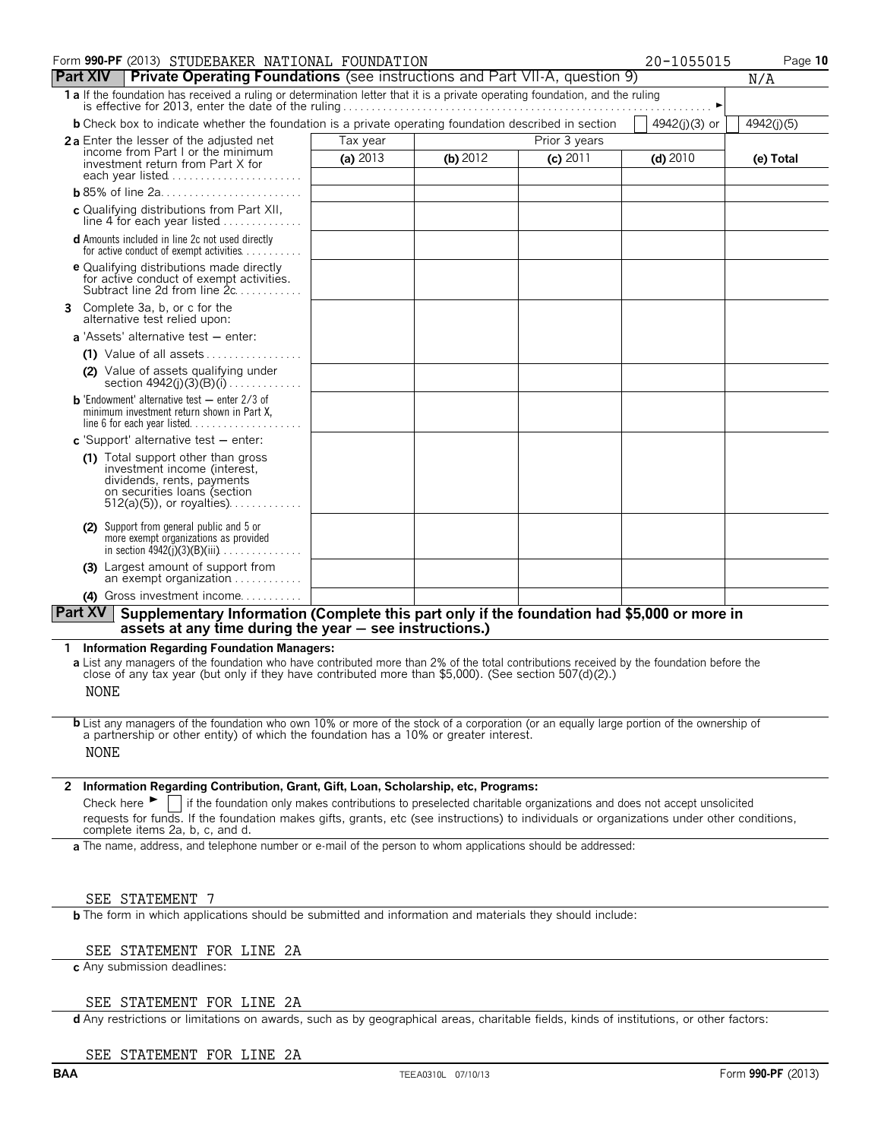| Form 990-PF (2013) STUDEBAKER NATIONAL FOUNDATION                                                                                |          |            |            | 20-1055015    | Page 10    |
|----------------------------------------------------------------------------------------------------------------------------------|----------|------------|------------|---------------|------------|
| <b>Part XIV</b> Private Operating Foundations (see instructions and Part VII-A, question 9)                                      |          |            |            |               | N/A        |
| 1 a If the foundation has received a ruling or determination letter that it is a private operating foundation, and the ruling    |          |            |            |               |            |
| <b>b</b> Check box to indicate whether the foundation is a private operating foundation described in section                     |          |            |            | 4942(j)(3) or | 4942(j)(5) |
| 2a Enter the lesser of the adjusted net                                                                                          | Tax year |            |            |               |            |
| income from Part I or the minimum<br>investment return from Part X for<br>each year listed                                       | (a) 2013 | (b) $2012$ | $(c)$ 2011 | $(d)$ 2010    | (e) Total  |
|                                                                                                                                  |          |            |            |               |            |
| c Qualifying distributions from Part XII,<br>line 4 for each year listed                                                         |          |            |            |               |            |
| <b>d</b> Amounts included in line 2c not used directly<br>for active conduct of exempt activities $\dots$ ,                      |          |            |            |               |            |
| <b>e</b> Qualifying distributions made directly<br>for active conduct of exempt activities.<br>Subtract line 2d from line 2c.    |          |            |            |               |            |
| 3 Complete 3a, b, or c for the<br>alternative test relied upon:                                                                  |          |            |            |               |            |
| <b>a</b> 'Assets' alternative test $-$ enter:                                                                                    |          |            |            |               |            |
| $(1)$ Value of all assets                                                                                                        |          |            |            |               |            |
| (2) Value of assets qualifying under<br>section $4942(j)(3)(B)(i)$                                                               |          |            |            |               |            |
| <b>b</b> 'Endowment' alternative test $-$ enter 2/3 of<br>minimum investment return shown in Part X,                             |          |            |            |               |            |
| c 'Support' alternative test $-$ enter:                                                                                          |          |            |            |               |            |
| (1) Total support other than gross<br>investment income (interest,<br>dividends, rents, payments<br>on securities loans (section |          |            |            |               |            |
| (2) Support from general public and 5 or<br>more exempt organizations as provided<br>in section $\frac{4942(i)}{3}$ (B)(iii)     |          |            |            |               |            |
| (3) Largest amount of support from<br>an exempt organization                                                                     |          |            |            |               |            |
| (4) Gross investment income                                                                                                      |          |            |            |               |            |
| Part XV<br>Supplementary Information (Complete this part only if the foundation had \$5,000 or more in                           |          |            |            |               |            |

**assets at any time during the year** ' **see instructions.)**

### **1 Information Regarding Foundation Managers:**

**a** List any managers of the foundation who have contributed more than 2% of the total contributions received by the foundation before the close of any tax year (but only if they have contributed more than \$5,000). (See section 507(d)(2).) NONE

**b** List any managers of the foundation who own 10% or more of the stock of a corporation (or an equally large portion of the ownership of a partnership or other entity) of which the foundation has a 10% or greater interest. NONE

### **2 Information Regarding Contribution, Grant, Gift, Loan, Scholarship, etc, Programs:**

Check here  $\blacktriangleright$  if the foundation only makes contributions to preselected charitable organizations and does not accept unsolicited requests for funds. If the foundation makes gifts, grants, etc (see instructions) to individuals or organizations under other conditions, complete items 2a, b, c, and d.

**a** The name, address, and telephone number or e-mail of the person to whom applications should be addressed:

### SEE STATEMENT 7

**b** The form in which applications should be submitted and information and materials they should include:

### SEE STATEMENT FOR LINE 2A

**c** Any submission deadlines:

### SEE STATEMENT FOR LINE 2A

**d** Any restrictions or limitations on awards, such as by geographical areas, charitable fields, kinds of institutions, or other factors:

### SEE STATEMENT FOR LINE 2A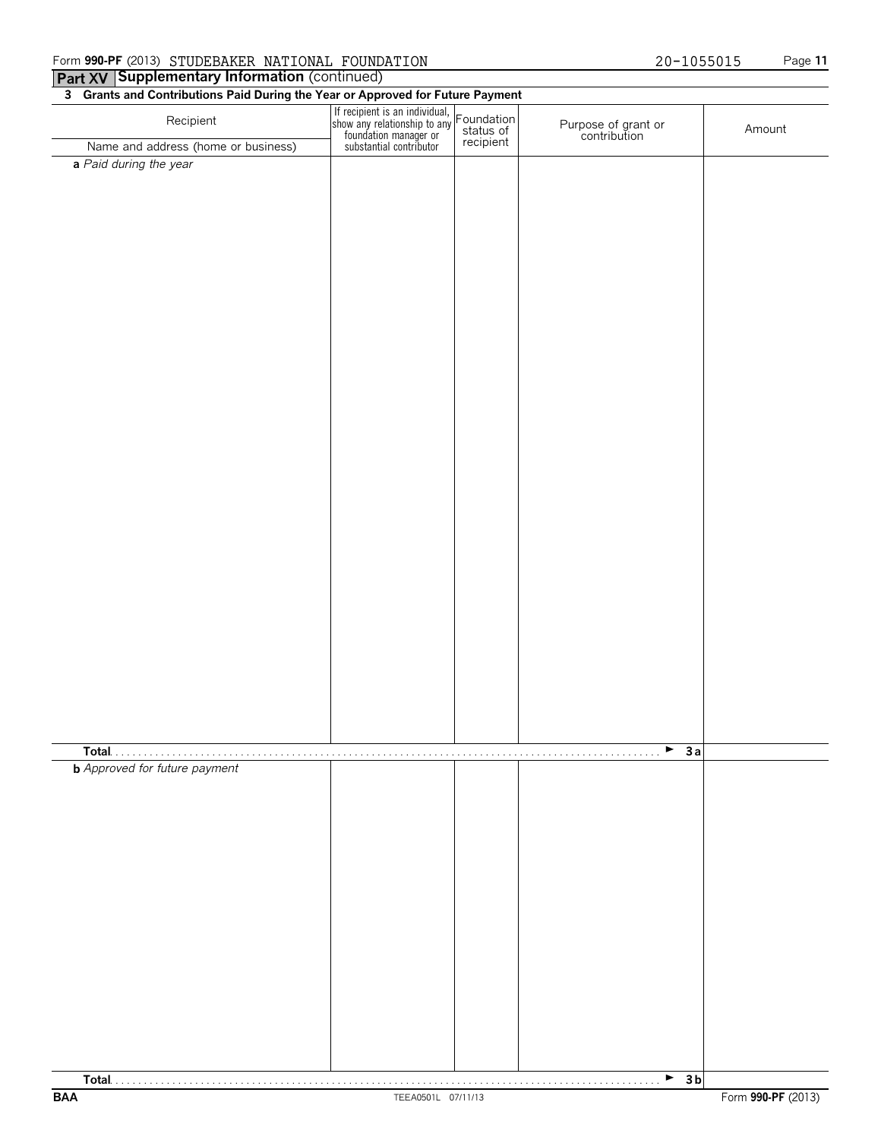### **Part XV Supplementary Information (continued) 3 Grants and Contributions Paid During the Year or Approved for Future Payment**

| o and to and continuations rate barmy the rear of Approved for Fature Payment<br>Recipient | If recipient is an individual,<br>show any relationship to any Foundation<br>foundation manager or<br>substantial contributor<br>recipient |                                     |        |
|--------------------------------------------------------------------------------------------|--------------------------------------------------------------------------------------------------------------------------------------------|-------------------------------------|--------|
| Name and address (home or business)                                                        |                                                                                                                                            | Purpose of grant or<br>contribution | Amount |
| a Paid during the year                                                                     |                                                                                                                                            |                                     |        |
|                                                                                            |                                                                                                                                            |                                     |        |
|                                                                                            |                                                                                                                                            |                                     |        |
|                                                                                            |                                                                                                                                            |                                     |        |
|                                                                                            |                                                                                                                                            |                                     |        |
|                                                                                            |                                                                                                                                            |                                     |        |
|                                                                                            |                                                                                                                                            |                                     |        |
|                                                                                            |                                                                                                                                            |                                     |        |
|                                                                                            |                                                                                                                                            |                                     |        |
|                                                                                            |                                                                                                                                            |                                     |        |
|                                                                                            |                                                                                                                                            |                                     |        |
|                                                                                            |                                                                                                                                            |                                     |        |
|                                                                                            |                                                                                                                                            |                                     |        |
|                                                                                            |                                                                                                                                            |                                     |        |
|                                                                                            |                                                                                                                                            |                                     |        |
|                                                                                            |                                                                                                                                            |                                     |        |
|                                                                                            |                                                                                                                                            |                                     |        |
|                                                                                            |                                                                                                                                            |                                     |        |
|                                                                                            |                                                                                                                                            |                                     |        |
|                                                                                            |                                                                                                                                            |                                     |        |
|                                                                                            |                                                                                                                                            |                                     |        |
|                                                                                            |                                                                                                                                            |                                     |        |
|                                                                                            |                                                                                                                                            |                                     |        |
|                                                                                            |                                                                                                                                            |                                     |        |
|                                                                                            |                                                                                                                                            |                                     |        |
|                                                                                            |                                                                                                                                            |                                     |        |
|                                                                                            |                                                                                                                                            |                                     |        |
|                                                                                            |                                                                                                                                            |                                     |        |
|                                                                                            |                                                                                                                                            | $\blacktriangleright$ 3a            |        |
| <b>b</b> Approved for future payment                                                       |                                                                                                                                            |                                     |        |
|                                                                                            |                                                                                                                                            |                                     |        |
|                                                                                            |                                                                                                                                            |                                     |        |
|                                                                                            |                                                                                                                                            |                                     |        |
|                                                                                            |                                                                                                                                            |                                     |        |
|                                                                                            |                                                                                                                                            |                                     |        |
|                                                                                            |                                                                                                                                            |                                     |        |
|                                                                                            |                                                                                                                                            |                                     |        |
|                                                                                            |                                                                                                                                            |                                     |        |
|                                                                                            |                                                                                                                                            |                                     |        |
|                                                                                            |                                                                                                                                            |                                     |        |
|                                                                                            |                                                                                                                                            |                                     |        |
|                                                                                            |                                                                                                                                            |                                     |        |
|                                                                                            |                                                                                                                                            |                                     |        |
|                                                                                            |                                                                                                                                            |                                     |        |
|                                                                                            |                                                                                                                                            | $\rightarrow$ 3b                    |        |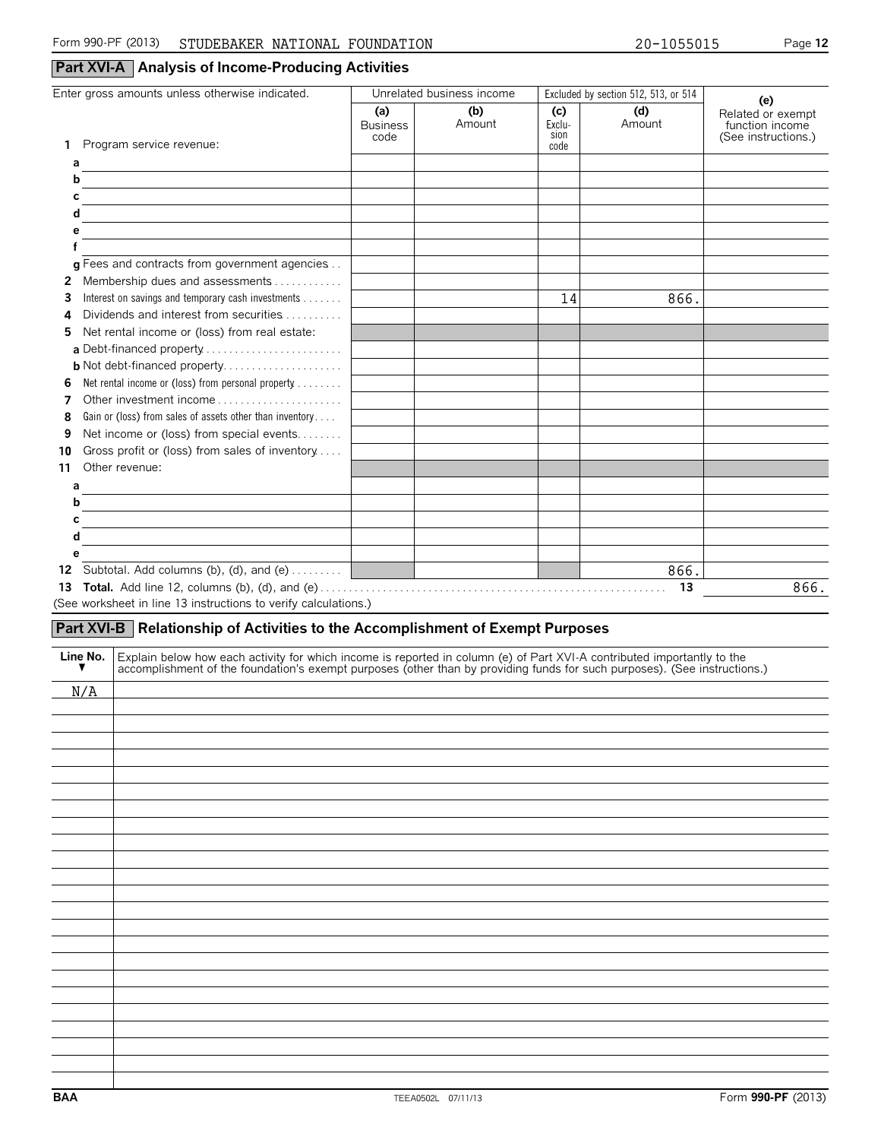### **Part XVI-A Analysis of Income-Producing Activities**

|               | Enter gross amounts unless otherwise indicated.                                                                                                                                                                                      | Unrelated business income      |                             |                               | Excluded by section 512, 513, or 514 |                                                                    |
|---------------|--------------------------------------------------------------------------------------------------------------------------------------------------------------------------------------------------------------------------------------|--------------------------------|-----------------------------|-------------------------------|--------------------------------------|--------------------------------------------------------------------|
|               | 1 Program service revenue:                                                                                                                                                                                                           | (a)<br><b>Business</b><br>code | (b)<br>Amount               | (c)<br>Exclu-<br>sion<br>code | (d)<br>Amount                        | (e)<br>Related or exempt<br>function income<br>(See instructions.) |
| а             |                                                                                                                                                                                                                                      |                                |                             |                               |                                      |                                                                    |
| b             |                                                                                                                                                                                                                                      |                                |                             |                               |                                      |                                                                    |
| C             | <u> 1989 - Jan Stern Stern Stern Stern Stern Stern Stern Stern Stern Stern Stern Stern Stern Stern Stern Stern Stern Stern Stern Stern Stern Stern Stern Stern Stern Stern Stern Stern Stern Stern Stern Stern Stern Stern Stern</u> |                                |                             |                               |                                      |                                                                    |
| d             |                                                                                                                                                                                                                                      |                                |                             |                               |                                      |                                                                    |
| е             |                                                                                                                                                                                                                                      |                                |                             |                               |                                      |                                                                    |
|               |                                                                                                                                                                                                                                      |                                |                             |                               |                                      |                                                                    |
|               | g Fees and contracts from government agencies                                                                                                                                                                                        |                                |                             |                               |                                      |                                                                    |
|               | 2 Membership dues and assessments                                                                                                                                                                                                    |                                |                             |                               |                                      |                                                                    |
| 3             | Interest on savings and temporary cash investments                                                                                                                                                                                   |                                |                             | 14                            | 866.                                 |                                                                    |
| 4             | Dividends and interest from securities                                                                                                                                                                                               |                                |                             |                               |                                      |                                                                    |
| 5.            | Net rental income or (loss) from real estate:                                                                                                                                                                                        |                                |                             |                               |                                      |                                                                    |
|               | a Debt-financed property                                                                                                                                                                                                             |                                |                             |                               |                                      |                                                                    |
|               | <b>b</b> Not debt-financed property                                                                                                                                                                                                  |                                |                             |                               |                                      |                                                                    |
| 6             | Net rental income or (loss) from personal property                                                                                                                                                                                   |                                |                             |                               |                                      |                                                                    |
| 7             | Other investment income                                                                                                                                                                                                              |                                |                             |                               |                                      |                                                                    |
| 8             | Gain or (loss) from sales of assets other than inventory                                                                                                                                                                             |                                |                             |                               |                                      |                                                                    |
| 9             | Net income or (loss) from special events                                                                                                                                                                                             |                                |                             |                               |                                      |                                                                    |
| 10            | Gross profit or (loss) from sales of inventory                                                                                                                                                                                       |                                |                             |                               |                                      |                                                                    |
| 11            | Other revenue:                                                                                                                                                                                                                       |                                |                             |                               |                                      |                                                                    |
| а             |                                                                                                                                                                                                                                      |                                |                             |                               |                                      |                                                                    |
| b             |                                                                                                                                                                                                                                      |                                |                             |                               |                                      |                                                                    |
|               |                                                                                                                                                                                                                                      |                                |                             |                               |                                      |                                                                    |
| с             |                                                                                                                                                                                                                                      |                                |                             |                               |                                      |                                                                    |
| d             |                                                                                                                                                                                                                                      |                                |                             |                               |                                      |                                                                    |
| е             |                                                                                                                                                                                                                                      |                                |                             |                               |                                      |                                                                    |
|               | 12 Subtotal. Add columns (b), (d), and (e)                                                                                                                                                                                           |                                |                             |                               | 866.                                 |                                                                    |
|               |                                                                                                                                                                                                                                      |                                | <u> Tanzania (h. 1878).</u> |                               |                                      | 866.                                                               |
|               | (See worksheet in line 13 instructions to verify calculations.)                                                                                                                                                                      |                                |                             |                               |                                      |                                                                    |
|               | Part XVI-B Relationship of Activities to the Accomplishment of Exempt Purposes                                                                                                                                                       |                                |                             |                               |                                      |                                                                    |
|               |                                                                                                                                                                                                                                      |                                |                             |                               |                                      |                                                                    |
| Line No.<br>▼ |                                                                                                                                                                                                                                      |                                |                             |                               |                                      |                                                                    |
|               | Explain below how each activity for which income is reported in column (e) of Part XVI-A contributed importantly to the accomplishment of the foundation's exempt purposes (other than by providing funds for such purposes).        |                                |                             |                               |                                      |                                                                    |
| N/A           |                                                                                                                                                                                                                                      |                                |                             |                               |                                      |                                                                    |
|               |                                                                                                                                                                                                                                      |                                |                             |                               |                                      |                                                                    |
|               |                                                                                                                                                                                                                                      |                                |                             |                               |                                      |                                                                    |
|               |                                                                                                                                                                                                                                      |                                |                             |                               |                                      |                                                                    |
|               |                                                                                                                                                                                                                                      |                                |                             |                               |                                      |                                                                    |
|               |                                                                                                                                                                                                                                      |                                |                             |                               |                                      |                                                                    |
|               |                                                                                                                                                                                                                                      |                                |                             |                               |                                      |                                                                    |
|               |                                                                                                                                                                                                                                      |                                |                             |                               |                                      |                                                                    |
|               |                                                                                                                                                                                                                                      |                                |                             |                               |                                      |                                                                    |
|               |                                                                                                                                                                                                                                      |                                |                             |                               |                                      |                                                                    |
|               |                                                                                                                                                                                                                                      |                                |                             |                               |                                      |                                                                    |
|               |                                                                                                                                                                                                                                      |                                |                             |                               |                                      |                                                                    |
|               |                                                                                                                                                                                                                                      |                                |                             |                               |                                      |                                                                    |
|               |                                                                                                                                                                                                                                      |                                |                             |                               |                                      |                                                                    |
|               |                                                                                                                                                                                                                                      |                                |                             |                               |                                      |                                                                    |
|               |                                                                                                                                                                                                                                      |                                |                             |                               |                                      |                                                                    |
|               |                                                                                                                                                                                                                                      |                                |                             |                               |                                      |                                                                    |
|               |                                                                                                                                                                                                                                      |                                |                             |                               |                                      |                                                                    |
|               |                                                                                                                                                                                                                                      |                                |                             |                               |                                      |                                                                    |
|               |                                                                                                                                                                                                                                      |                                |                             |                               |                                      |                                                                    |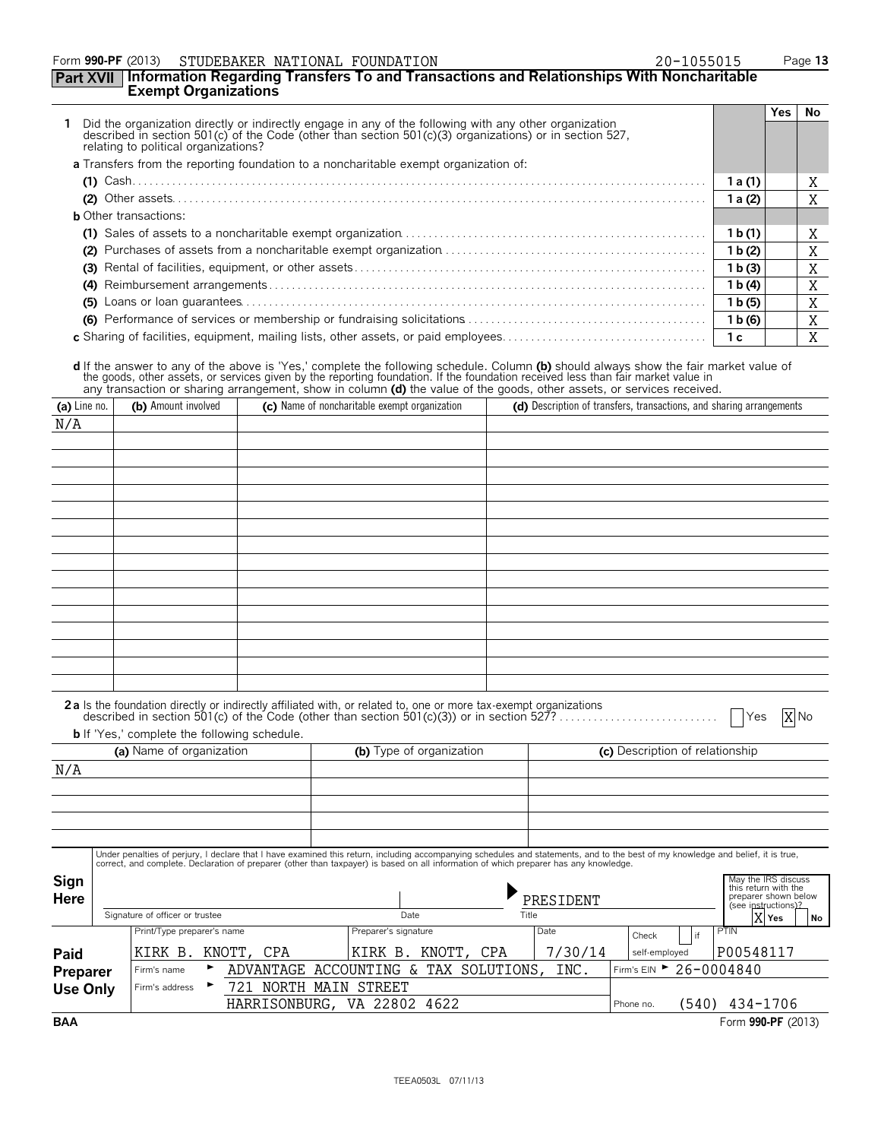### Form **990-PF** (2013) STUDEBAKER NATIONAL FOUNDATION 20-1055015 Page 13

### **Part XVII Information Regarding Transfers To and Transactions and Relationships With Noncharitable Exempt Organizations**

|                                                                                                                                                                                                                                                        |                    | Yes l | No. |
|--------------------------------------------------------------------------------------------------------------------------------------------------------------------------------------------------------------------------------------------------------|--------------------|-------|-----|
| Did the organization directly or indirectly engage in any of the following with any other organization described in section 501(c) of the Code (other than section 501(c)(3) organizations) or in section 527,<br>relating to political organizations? |                    |       |     |
| <b>a</b> Transfers from the reporting foundation to a noncharitable exempt organization of:                                                                                                                                                            |                    |       |     |
|                                                                                                                                                                                                                                                        | 1 a (1)            |       | ⋏   |
|                                                                                                                                                                                                                                                        | 1a(2)              |       | X   |
| <b>b</b> Other transactions:                                                                                                                                                                                                                           |                    |       |     |
|                                                                                                                                                                                                                                                        | 1 b(1)             |       | A   |
| (2)                                                                                                                                                                                                                                                    | 1 b(2)             |       | X   |
|                                                                                                                                                                                                                                                        | 1 b(3)             |       | X   |
|                                                                                                                                                                                                                                                        | 1 b(4)             |       | A   |
|                                                                                                                                                                                                                                                        | 1 <sub>b</sub> (5) |       | X   |
|                                                                                                                                                                                                                                                        | 1 b(6)             |       | A   |
| c Sharing of facilities, equipment, mailing lists, other assets, or paid employees                                                                                                                                                                     | 1 c                |       |     |

d If the answer to any of the above is 'Yes,' complete the following schedule. Column (b) should always show the fair market value of<br>the goods, other assets, or services given by the reporting foundation. If the foundatio

| (a) Line no.    | (b) Amount involved             |                                                                                                                                                                                                               | (c) Name of noncharitable exempt organization |                          |           |                                 |    | (d) Description of transfers, transactions, and sharing arrangements |
|-----------------|---------------------------------|---------------------------------------------------------------------------------------------------------------------------------------------------------------------------------------------------------------|-----------------------------------------------|--------------------------|-----------|---------------------------------|----|----------------------------------------------------------------------|
| N/A             |                                 |                                                                                                                                                                                                               |                                               |                          |           |                                 |    |                                                                      |
|                 |                                 |                                                                                                                                                                                                               |                                               |                          |           |                                 |    |                                                                      |
|                 |                                 |                                                                                                                                                                                                               |                                               |                          |           |                                 |    |                                                                      |
|                 |                                 |                                                                                                                                                                                                               |                                               |                          |           |                                 |    |                                                                      |
|                 |                                 |                                                                                                                                                                                                               |                                               |                          |           |                                 |    |                                                                      |
|                 |                                 |                                                                                                                                                                                                               |                                               |                          |           |                                 |    |                                                                      |
|                 |                                 |                                                                                                                                                                                                               |                                               |                          |           |                                 |    |                                                                      |
|                 |                                 |                                                                                                                                                                                                               |                                               |                          |           |                                 |    |                                                                      |
|                 |                                 |                                                                                                                                                                                                               |                                               |                          |           |                                 |    |                                                                      |
|                 |                                 |                                                                                                                                                                                                               |                                               |                          |           |                                 |    |                                                                      |
|                 |                                 |                                                                                                                                                                                                               |                                               |                          |           |                                 |    |                                                                      |
|                 |                                 |                                                                                                                                                                                                               |                                               |                          |           |                                 |    |                                                                      |
|                 |                                 |                                                                                                                                                                                                               |                                               |                          |           |                                 |    |                                                                      |
|                 |                                 |                                                                                                                                                                                                               |                                               |                          |           |                                 |    |                                                                      |
|                 |                                 |                                                                                                                                                                                                               |                                               |                          |           |                                 |    |                                                                      |
|                 |                                 |                                                                                                                                                                                                               |                                               |                          |           |                                 |    |                                                                      |
|                 |                                 | 2a Is the foundation directly or indirectly affiliated with, or related to, one or more tax-exempt organizations<br>described in section 501(c) of the Code (other than section 501(c)(3)) or in section 527? |                                               |                          |           |                                 |    |                                                                      |
|                 |                                 |                                                                                                                                                                                                               |                                               |                          |           |                                 |    | X No<br><b>Yes</b>                                                   |
|                 | (a) Name of organization        | <b>b</b> If 'Yes,' complete the following schedule.                                                                                                                                                           |                                               | (b) Type of organization |           | (c) Description of relationship |    |                                                                      |
|                 |                                 |                                                                                                                                                                                                               |                                               |                          |           |                                 |    |                                                                      |
| N/A             |                                 |                                                                                                                                                                                                               |                                               |                          |           |                                 |    |                                                                      |
|                 |                                 |                                                                                                                                                                                                               |                                               |                          |           |                                 |    |                                                                      |
|                 |                                 |                                                                                                                                                                                                               |                                               |                          |           |                                 |    |                                                                      |
|                 |                                 |                                                                                                                                                                                                               |                                               |                          |           |                                 |    |                                                                      |
|                 |                                 | Under penalties of perjury, I declare that I have examined this return, including accompanying schedules and statements, and to the best of my knowledge and belief, it is true,                              |                                               |                          |           |                                 |    |                                                                      |
|                 |                                 | correct, and complete. Declaration of preparer (other than taxpayer) is based on all information of which preparer has any knowledge.                                                                         |                                               |                          |           |                                 |    |                                                                      |
| Sign            |                                 |                                                                                                                                                                                                               |                                               |                          |           |                                 |    | May the IRS discuss<br>this return with the                          |
| <b>Here</b>     |                                 |                                                                                                                                                                                                               |                                               |                          | PRESIDENT |                                 |    | preparer shown below<br>(see instructions)?                          |
|                 | Signature of officer or trustee |                                                                                                                                                                                                               | Date                                          |                          | Title     |                                 |    | X Yes<br>No                                                          |
|                 | Print/Type preparer's name      |                                                                                                                                                                                                               | Preparer's signature                          |                          | Date      | Check                           | if | PTIN                                                                 |
| Paid            | KIRK B.                         | KNOTT,<br>CPA                                                                                                                                                                                                 | KIRK B. KNOTT, CPA                            |                          | 7/30/14   | self-employed                   |    | P00548117                                                            |
| Preparer        | Firm's name                     | ADVANTAGE ACCOUNTING & TAX SOLUTIONS,                                                                                                                                                                         |                                               |                          | INC.      |                                 |    | Firm's EIN > 26-0004840                                              |
| <b>Use Only</b> | Firm's address                  | 721 NORTH MAIN STREET                                                                                                                                                                                         |                                               |                          |           |                                 |    |                                                                      |
|                 |                                 | HARRISONBURG,                                                                                                                                                                                                 | VA 22802 4622                                 |                          |           | Phone no.                       |    | (540) 434-1706                                                       |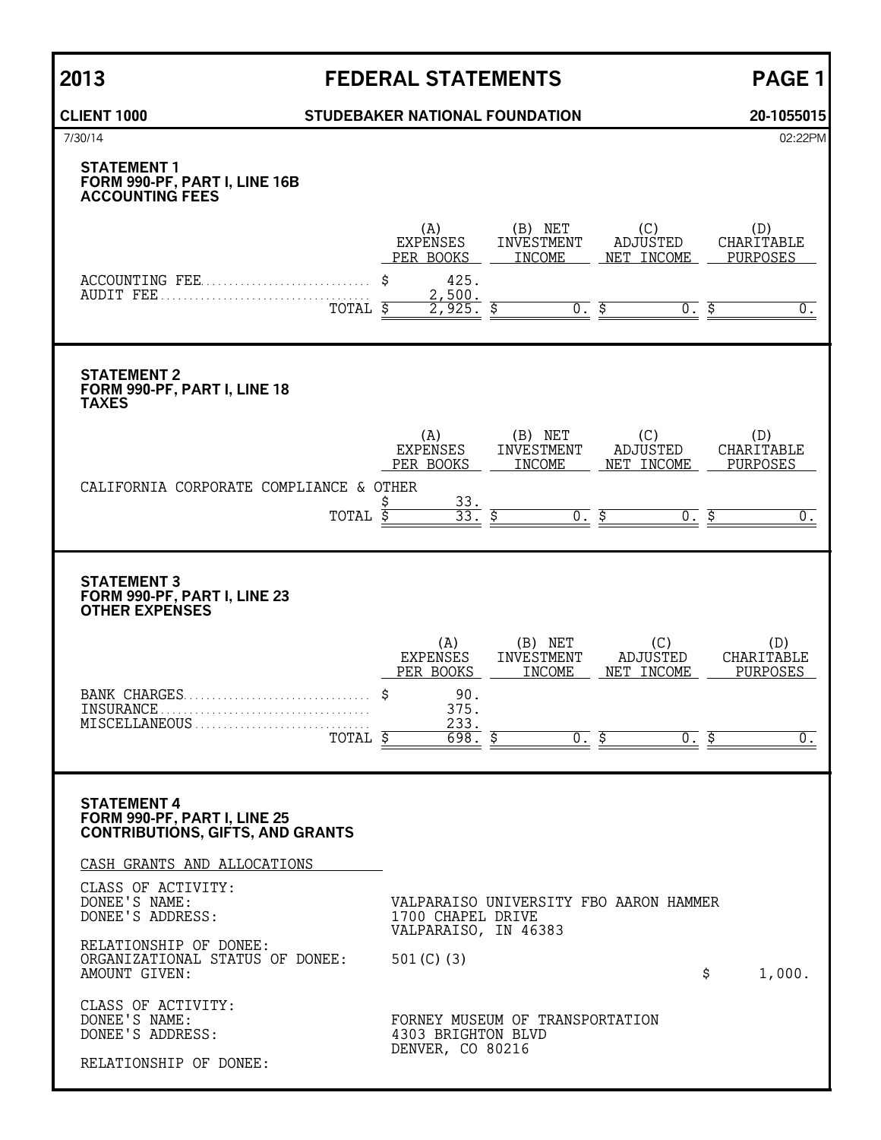### **CLIENT 1000 STUDEBAKER NATIONAL FOUNDATION 20-1055015**

| 7/30/14                                                                                       |                                                                           |                                                            |                                                                | 02:22PM                                                 |
|-----------------------------------------------------------------------------------------------|---------------------------------------------------------------------------|------------------------------------------------------------|----------------------------------------------------------------|---------------------------------------------------------|
| <b>STATEMENT 1</b><br>FORM 990-PF, PART I, LINE 16B<br><b>ACCOUNTING FEES</b>                 |                                                                           |                                                            |                                                                |                                                         |
| ACCOUNTING FEE<br>TOTAL \$                                                                    | (A)<br><b>EXPENSES</b><br>PER BOOKS<br>425.<br>\$<br>2,500.<br>925.       | (B) NET<br>INVESTMENT<br>INCOME<br>$\overline{0}$ .        | (C)<br>ADJUSTED<br>NET INCOME<br>\$                            | (D)<br>CHARITABLE<br>PURPOSES<br>0.                     |
| <b>STATEMENT 2</b><br>FORM 990-PF, PART I, LINE 18<br><b>TAXES</b>                            |                                                                           |                                                            |                                                                |                                                         |
| CALIFORNIA CORPORATE COMPLIANCE & OTHER<br>TOTAL                                              | (A)<br><b>EXPENSES</b><br>PER BOOKS<br>$\frac{33}{33}$ .<br>\$<br>Ś       | (B) NET<br>INVESTMENT<br><b>INCOME</b><br>$\overline{0}$ . | (C)<br>ADJUSTED<br>NET INCOME<br>Ś                             | (D)<br>CHARITABLE<br>PURPOSES<br>0.                     |
| <b>STATEMENT 3</b><br>FORM 990-PF, PART I, LINE 23<br><b>OTHER EXPENSES</b>                   |                                                                           |                                                            |                                                                |                                                         |
| BANK CHARGES<br>INSURANCE.<br>TOTAL \$                                                        | (A)<br><b>EXPENSES</b><br>PER BOOKS<br>90.<br>375.<br>233.<br>698.<br>\$  | (B) NET<br>INVESTMENT<br>INCOME<br>$0^-$                   | (C)<br><b>ADJUSTED</b><br>NET INCOME<br>\$<br>$\overline{0}$ . | (D)<br>CHARITABLE<br>PURPOSES<br>\$<br>$\overline{0}$ . |
| <b>STATEMENT 4</b><br>FORM 990-PF, PART I, LINE 25<br><b>CONTRIBUTIONS, GIFTS, AND GRANTS</b> |                                                                           |                                                            |                                                                |                                                         |
| CASH GRANTS AND ALLOCATIONS<br>CLASS OF ACTIVITY:<br>DONEE'S NAME:<br>DONEE'S ADDRESS:        | 1700 CHAPEL DRIVE<br>VALPARAISO, IN 46383                                 |                                                            | VALPARAISO UNIVERSITY FBO AARON HAMMER                         |                                                         |
| RELATIONSHIP OF DONEE:<br>ORGANIZATIONAL STATUS OF DONEE:<br>AMOUNT GIVEN:                    | 501 $(C)$ (3)                                                             |                                                            | \$                                                             | 1,000.                                                  |
| CLASS OF ACTIVITY:<br>DONEE'S NAME:<br>DONEE'S ADDRESS:<br>RELATIONSHIP OF DONEE:             | FORNEY MUSEUM OF TRANSPORTATION<br>4303 BRIGHTON BLVD<br>DENVER, CO 80216 |                                                            |                                                                |                                                         |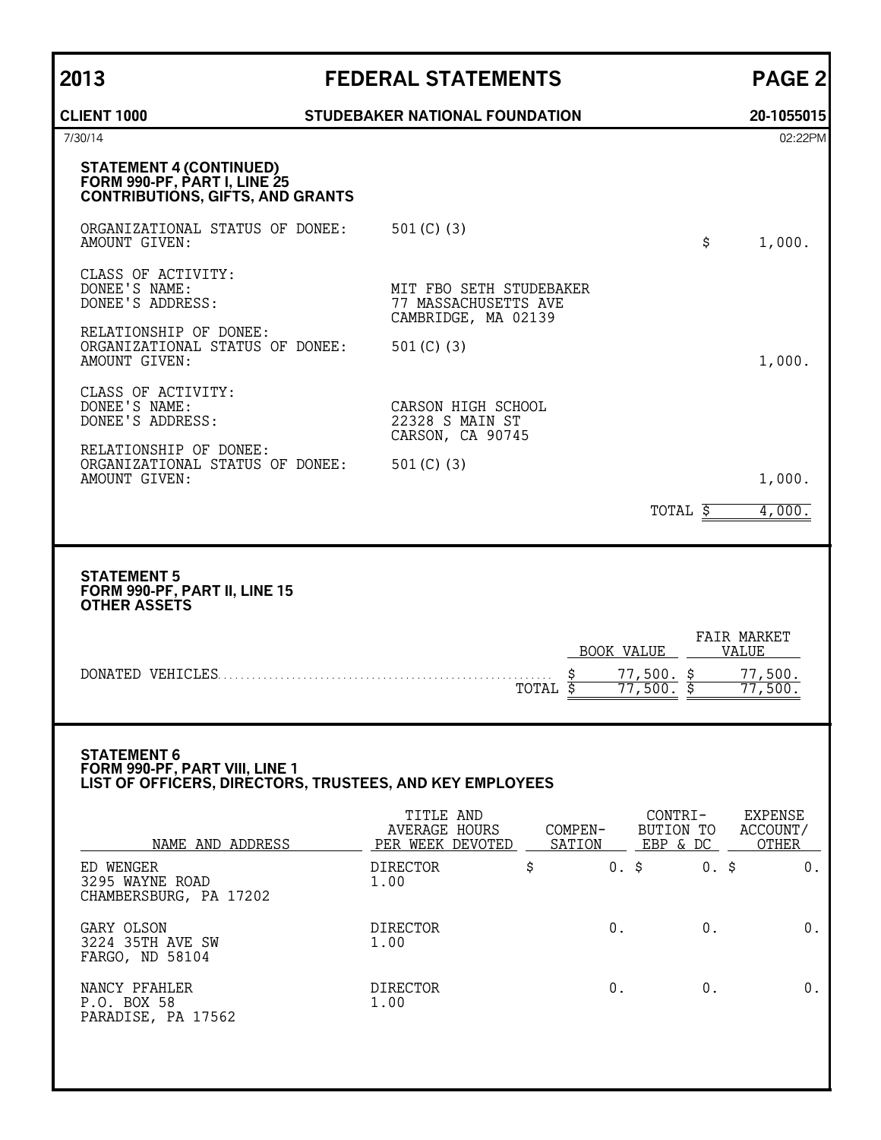| STUDEBAKER NATIONAL FOUNDATION                                                             | 20-1055015                                                                                                                                                                                                                                                             |
|--------------------------------------------------------------------------------------------|------------------------------------------------------------------------------------------------------------------------------------------------------------------------------------------------------------------------------------------------------------------------|
|                                                                                            | 02:22PM                                                                                                                                                                                                                                                                |
|                                                                                            |                                                                                                                                                                                                                                                                        |
| 501 $(C)$ (3)<br>\$                                                                        | 1,000.                                                                                                                                                                                                                                                                 |
| MIT FBO SETH STUDEBAKER<br>77 MASSACHUSETTS AVE<br>CAMBRIDGE, MA 02139                     |                                                                                                                                                                                                                                                                        |
| 501 $(C)$ $(3)$                                                                            | 1,000.                                                                                                                                                                                                                                                                 |
| CARSON HIGH SCHOOL<br>22328 S MAIN ST<br>CARSON, CA 90745                                  |                                                                                                                                                                                                                                                                        |
| 501 $(C)$ (3)                                                                              | 1,000.                                                                                                                                                                                                                                                                 |
| TOTAL \$                                                                                   | 4,000.                                                                                                                                                                                                                                                                 |
|                                                                                            |                                                                                                                                                                                                                                                                        |
| <b>BOOK VALUE</b>                                                                          | <b>FAIR MARKET</b><br>VALUE                                                                                                                                                                                                                                            |
| $77,500.$ \$<br>\$<br>77,500.<br>\$<br>TOTAL                                               | 77,500.<br>77,500.                                                                                                                                                                                                                                                     |
|                                                                                            |                                                                                                                                                                                                                                                                        |
| <b>AVERAGE HOURS</b><br>BUTION TO<br>COMPEN-<br>PER WEEK DEVOTED<br>$EBP_{\&}DC$<br>SATION | EXPENSE<br>ACCOUNT/<br><b>OTHER</b>                                                                                                                                                                                                                                    |
| <b>DIRECTOR</b><br>\$<br>$0.$ \$<br>1.00                                                   | $0.$ \$<br>$0$ .                                                                                                                                                                                                                                                       |
| <b>DIRECTOR</b><br>$0$ .<br>1.00                                                           | $0$ .<br>$0$ .                                                                                                                                                                                                                                                         |
| <b>DIRECTOR</b><br>$0$ .<br>1.00                                                           | $0$ .<br>0.                                                                                                                                                                                                                                                            |
| FORM 990-PF, PART II, LINE 15                                                              | <b>CONTRIBUTIONS, GIFTS, AND GRANTS</b><br>ORGANIZATIONAL STATUS OF DONEE:<br>ORGANIZATIONAL STATUS OF DONEE:<br>ORGANIZATIONAL STATUS OF DONEE:<br>FORM 990-PF, PART VIII, LINE 1<br>LIST OF OFFICERS, DIRECTORS, TRUSTEES, AND KEY EMPLOYEES<br>TITLE AND<br>CONTRI- |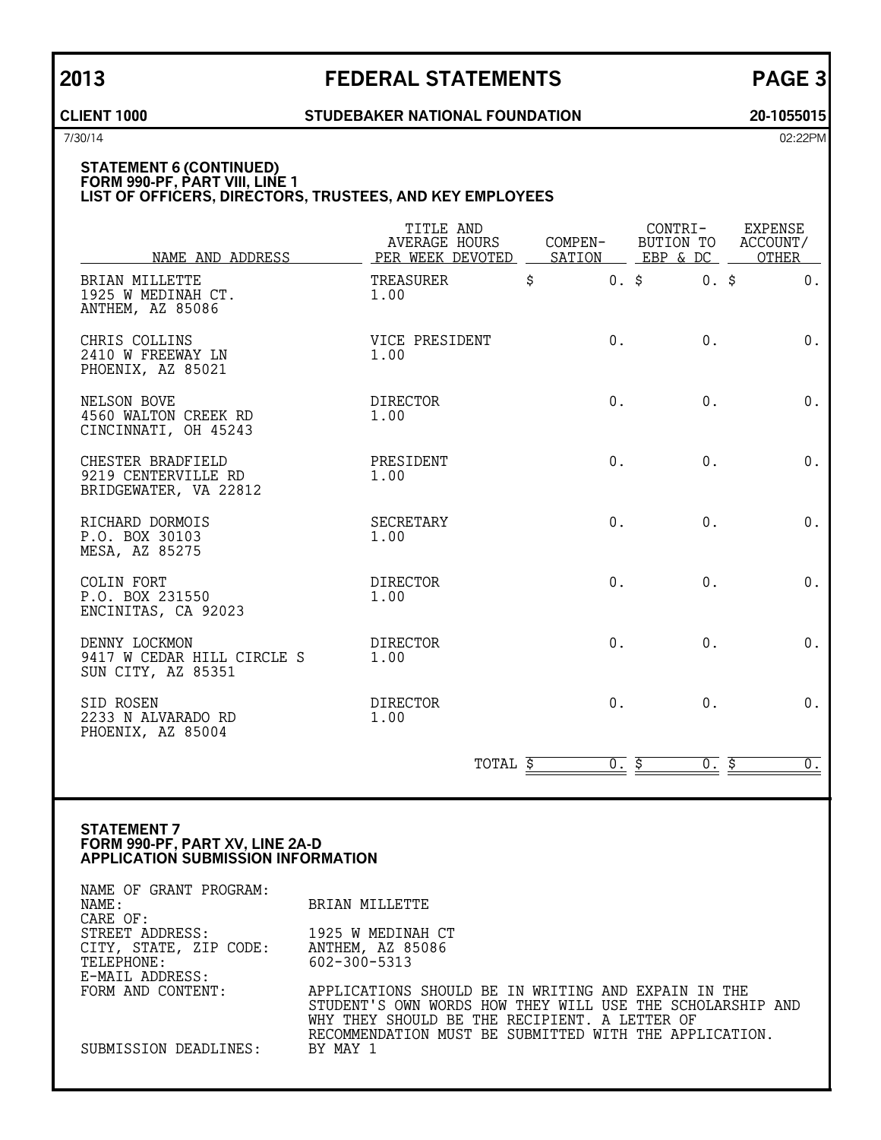### **CLIENT 1000 STUDEBAKER NATIONAL FOUNDATION 20-1055015**

7/30/14 02:22PM

### **STATEMENT 6 (CONTINUED) FORM 990-PF, PART VIII, LINE 1 LIST OF OFFICERS, DIRECTORS, TRUSTEES, AND KEY EMPLOYEES**

| NAME AND ADDRESS                                                  | TITLE AND<br>AVERAGE HOURS<br>PER WEEK DEVOTED SATION | COMPEN-       | EBP & DC | CONTRI- EXPENSE<br>BUTION TO ACCOUNT/<br>OTHER |
|-------------------------------------------------------------------|-------------------------------------------------------|---------------|----------|------------------------------------------------|
| BRIAN MILLETTE<br>1925 W MEDINAH CT.<br>ANTHEM, AZ 85086          | TREASURER<br>1.00                                     | \$<br>$0.$ \$ | $0.$ \$  | 0.                                             |
| CHRIS COLLINS<br>2410 W FREEWAY LN<br>PHOENIX, AZ 85021           | VICE PRESIDENT<br>1.00                                | 0.            | 0.       | 0.                                             |
| NELSON BOVE<br>4560 WALTON CREEK RD<br>CINCINNATI, OH 45243       | <b>DIRECTOR</b><br>1.00                               | 0.            | 0.       | 0.                                             |
| CHESTER BRADFIELD<br>9219 CENTERVILLE RD<br>BRIDGEWATER, VA 22812 | PRESIDENT<br>1.00                                     | 0.            | $0$ .    | $0$ .                                          |
| RICHARD DORMOIS<br>P.O. BOX 30103<br>MESA, AZ 85275               | <b>SECRETARY</b><br>1.00                              | 0.            | $0$ .    | 0.                                             |
| COLIN FORT<br>P.O. BOX 231550<br>ENCINITAS, CA 92023              | <b>DIRECTOR</b><br>1.00                               | 0.            | $0$ .    | 0.                                             |
| DENNY LOCKMON<br>9417 W CEDAR HILL CIRCLE S<br>SUN CITY, AZ 85351 | <b>DIRECTOR</b><br>1.00                               | 0.            | $0$ .    | 0.                                             |
| SID ROSEN<br>2233 N ALVARADO RD<br>PHOENIX, AZ 85004              | <b>DIRECTOR</b><br>1.00                               | 0.            | $0$ .    | 0.                                             |
|                                                                   | TOTAL \$                                              | <u>0. \$</u>  | $0.$ \$  | $\overline{0}$ .                               |

### **STATEMENT 7 FORM 990-PF, PART XV, LINE 2A-D APPLICATION SUBMISSION INFORMATION**

| NAME OF GRANT PROGRAM: |                                                           |
|------------------------|-----------------------------------------------------------|
| NAME:                  | BRIAN MILLETTE                                            |
| CARE OF:               |                                                           |
| STREET ADDRESS:        | 1925 W MEDINAH CT                                         |
| CITY, STATE, ZIP CODE: | ANTHEM, AZ 85086                                          |
| TELEPHONE:             | 602-300-5313                                              |
| E-MAIL ADDRESS:        |                                                           |
| FORM AND CONTENT:      | APPLICATIONS SHOULD BE IN WRITING AND EXPAIN IN THE       |
|                        | STUDENT'S OWN WORDS HOW THEY WILL USE THE SCHOLARSHIP AND |
|                        | WHY THEY SHOULD BE THE RECIPIENT. A LETTER OF             |
|                        | RECOMMENDATION MUST BE SUBMITTED WITH THE APPLICATION.    |
| SUBMISSION DEADLINES:  | BY MAY 1                                                  |